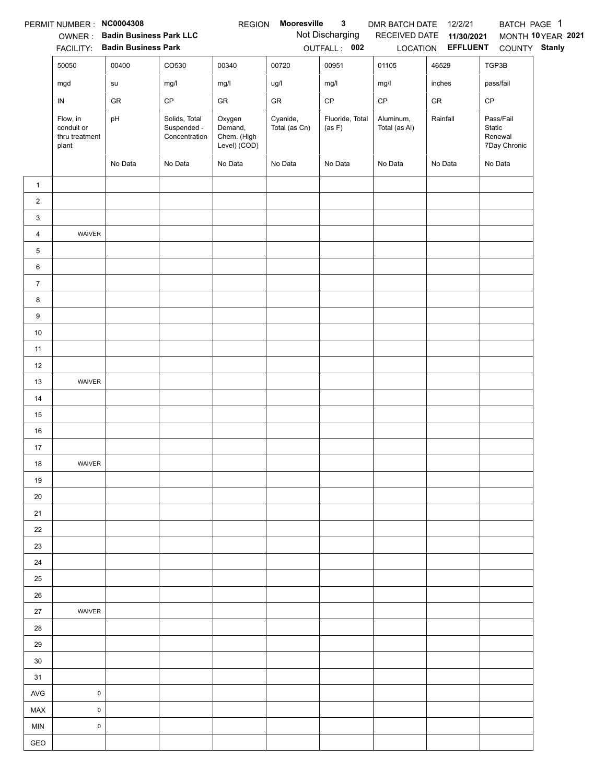|                 | PERMIT NUMBER : NC0004308                         |                                |                                               | <b>REGION</b>                                    | Mooresville               | $\mathbf{3}$              | DMR BATCH DATE             | 12/2/21                  | BATCH PAGE 1                                   |                    |
|-----------------|---------------------------------------------------|--------------------------------|-----------------------------------------------|--------------------------------------------------|---------------------------|---------------------------|----------------------------|--------------------------|------------------------------------------------|--------------------|
|                 |                                                   | OWNER: Badin Business Park LLC |                                               |                                                  |                           | Not Discharging           | RECEIVED DATE              | 11/30/2021               |                                                | MONTH 10 YEAR 2021 |
|                 |                                                   | FACILITY: Badin Business Park  |                                               |                                                  |                           | OUTFALL: 002              |                            | LOCATION <b>EFFLUENT</b> | COUNTY Stanly                                  |                    |
|                 | 50050                                             | 00400                          | CO530                                         | 00340                                            | 00720                     | 00951                     | 01105                      | 46529                    | TGP3B                                          |                    |
|                 | mgd                                               | su                             | mg/l                                          | mg/l                                             | ug/l                      | mg/l                      | mg/l                       | inches                   | pass/fail                                      |                    |
|                 | ${\sf IN}$                                        | GR                             | CP                                            | GR                                               | ${\sf GR}$                | $\mathsf{CP}$             | $\mathsf{CP}$              | ${\sf GR}$               | CP                                             |                    |
|                 | Flow, in<br>conduit or<br>thru treatment<br>plant | pH                             | Solids, Total<br>Suspended -<br>Concentration | Oxygen<br>Demand,<br>Chem. (High<br>Level) (COD) | Cyanide,<br>Total (as Cn) | Fluoride, Total<br>(as F) | Aluminum,<br>Total (as Al) | Rainfall                 | Pass/Fail<br>Static<br>Renewal<br>7Day Chronic |                    |
|                 |                                                   | No Data                        | No Data                                       | No Data                                          | No Data                   | No Data                   | No Data                    | No Data                  | No Data                                        |                    |
| $\mathbf{1}$    |                                                   |                                |                                               |                                                  |                           |                           |                            |                          |                                                |                    |
| $\overline{2}$  |                                                   |                                |                                               |                                                  |                           |                           |                            |                          |                                                |                    |
| 3               |                                                   |                                |                                               |                                                  |                           |                           |                            |                          |                                                |                    |
| $\overline{4}$  | WAIVER                                            |                                |                                               |                                                  |                           |                           |                            |                          |                                                |                    |
| 5               |                                                   |                                |                                               |                                                  |                           |                           |                            |                          |                                                |                    |
| $6\phantom{.0}$ |                                                   |                                |                                               |                                                  |                           |                           |                            |                          |                                                |                    |
| $\overline{7}$  |                                                   |                                |                                               |                                                  |                           |                           |                            |                          |                                                |                    |
| 8               |                                                   |                                |                                               |                                                  |                           |                           |                            |                          |                                                |                    |
| 9               |                                                   |                                |                                               |                                                  |                           |                           |                            |                          |                                                |                    |
| $10\,$          |                                                   |                                |                                               |                                                  |                           |                           |                            |                          |                                                |                    |
| 11              |                                                   |                                |                                               |                                                  |                           |                           |                            |                          |                                                |                    |
| 12              |                                                   |                                |                                               |                                                  |                           |                           |                            |                          |                                                |                    |
| 13              | WAIVER                                            |                                |                                               |                                                  |                           |                           |                            |                          |                                                |                    |
| 14              |                                                   |                                |                                               |                                                  |                           |                           |                            |                          |                                                |                    |
| 15              |                                                   |                                |                                               |                                                  |                           |                           |                            |                          |                                                |                    |
| $16\,$          |                                                   |                                |                                               |                                                  |                           |                           |                            |                          |                                                |                    |
| 17              |                                                   |                                |                                               |                                                  |                           |                           |                            |                          |                                                |                    |
| $18$            | WAIVER                                            |                                |                                               |                                                  |                           |                           |                            |                          |                                                |                    |
| 19              |                                                   |                                |                                               |                                                  |                           |                           |                            |                          |                                                |                    |
| 20              |                                                   |                                |                                               |                                                  |                           |                           |                            |                          |                                                |                    |
| 21              |                                                   |                                |                                               |                                                  |                           |                           |                            |                          |                                                |                    |
| 22              |                                                   |                                |                                               |                                                  |                           |                           |                            |                          |                                                |                    |
| 23              |                                                   |                                |                                               |                                                  |                           |                           |                            |                          |                                                |                    |
| 24              |                                                   |                                |                                               |                                                  |                           |                           |                            |                          |                                                |                    |
| 25              |                                                   |                                |                                               |                                                  |                           |                           |                            |                          |                                                |                    |
| 26              |                                                   |                                |                                               |                                                  |                           |                           |                            |                          |                                                |                    |
| 27              | WAIVER                                            |                                |                                               |                                                  |                           |                           |                            |                          |                                                |                    |
| 28              |                                                   |                                |                                               |                                                  |                           |                           |                            |                          |                                                |                    |
| 29              |                                                   |                                |                                               |                                                  |                           |                           |                            |                          |                                                |                    |
| 30              |                                                   |                                |                                               |                                                  |                           |                           |                            |                          |                                                |                    |
| 31              |                                                   |                                |                                               |                                                  |                           |                           |                            |                          |                                                |                    |
| AVG             | $\mathsf 0$                                       |                                |                                               |                                                  |                           |                           |                            |                          |                                                |                    |
| MAX             | $\mathsf 0$                                       |                                |                                               |                                                  |                           |                           |                            |                          |                                                |                    |
| <b>MIN</b>      | $\pmb{0}$                                         |                                |                                               |                                                  |                           |                           |                            |                          |                                                |                    |
| GEO             |                                                   |                                |                                               |                                                  |                           |                           |                            |                          |                                                |                    |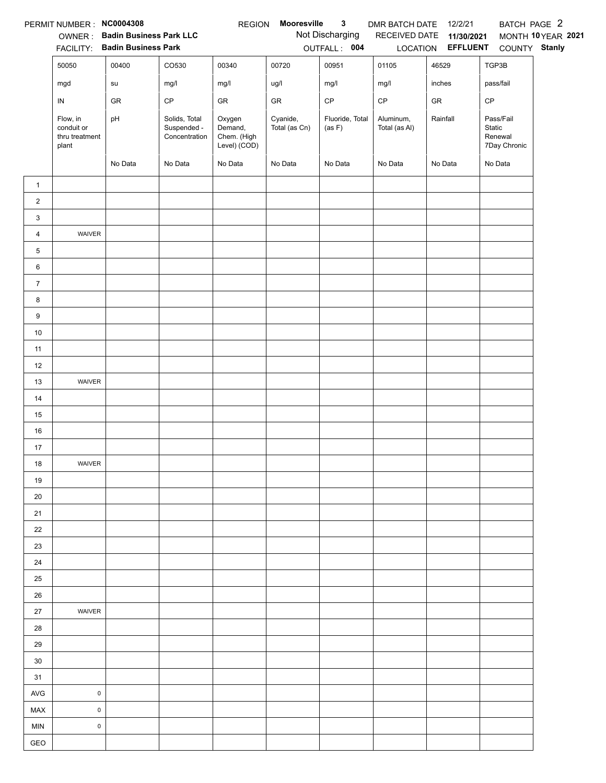|                 | PERMIT NUMBER : NC0004308                         | OWNER: Badin Business Park LLC |                                               | <b>REGION</b>                                    | Mooresville               | $\mathbf{3}$<br>Not Discharging | DMR BATCH DATE<br>RECEIVED DATE | 12/2/21<br>11/30/2021    | BATCH PAGE 2                                   | MONTH 10 YEAR 2021 |
|-----------------|---------------------------------------------------|--------------------------------|-----------------------------------------------|--------------------------------------------------|---------------------------|---------------------------------|---------------------------------|--------------------------|------------------------------------------------|--------------------|
|                 |                                                   | FACILITY: Badin Business Park  |                                               |                                                  |                           | OUTFALL: 004                    |                                 | LOCATION <b>EFFLUENT</b> | COUNTY Stanly                                  |                    |
|                 | 50050                                             | 00400                          | CO530                                         | 00340                                            | 00720                     | 00951                           | 01105                           | 46529                    | TGP3B                                          |                    |
|                 | mgd                                               | su                             | mg/l                                          | mg/l                                             | ug/l                      | mg/l                            | mg/l                            | inches                   | pass/fail                                      |                    |
|                 | ${\sf IN}$                                        | GR                             | CP                                            | GR                                               | ${\sf GR}$                | $\mathsf{CP}$                   | $\mathsf{CP}$                   | ${\sf GR}$               | CP                                             |                    |
|                 | Flow, in<br>conduit or<br>thru treatment<br>plant | pH                             | Solids, Total<br>Suspended -<br>Concentration | Oxygen<br>Demand,<br>Chem. (High<br>Level) (COD) | Cyanide,<br>Total (as Cn) | Fluoride, Total<br>(as F)       | Aluminum,<br>Total (as Al)      | Rainfall                 | Pass/Fail<br>Static<br>Renewal<br>7Day Chronic |                    |
|                 |                                                   | No Data                        | No Data                                       | No Data                                          | No Data                   | No Data                         | No Data                         | No Data                  | No Data                                        |                    |
| $\mathbf{1}$    |                                                   |                                |                                               |                                                  |                           |                                 |                                 |                          |                                                |                    |
| $\overline{2}$  |                                                   |                                |                                               |                                                  |                           |                                 |                                 |                          |                                                |                    |
| 3               |                                                   |                                |                                               |                                                  |                           |                                 |                                 |                          |                                                |                    |
| $\overline{4}$  | WAIVER                                            |                                |                                               |                                                  |                           |                                 |                                 |                          |                                                |                    |
| 5               |                                                   |                                |                                               |                                                  |                           |                                 |                                 |                          |                                                |                    |
| $6\phantom{.0}$ |                                                   |                                |                                               |                                                  |                           |                                 |                                 |                          |                                                |                    |
| $\overline{7}$  |                                                   |                                |                                               |                                                  |                           |                                 |                                 |                          |                                                |                    |
| 8               |                                                   |                                |                                               |                                                  |                           |                                 |                                 |                          |                                                |                    |
| 9               |                                                   |                                |                                               |                                                  |                           |                                 |                                 |                          |                                                |                    |
| $10\,$          |                                                   |                                |                                               |                                                  |                           |                                 |                                 |                          |                                                |                    |
| 11              |                                                   |                                |                                               |                                                  |                           |                                 |                                 |                          |                                                |                    |
| 12              |                                                   |                                |                                               |                                                  |                           |                                 |                                 |                          |                                                |                    |
| 13              | WAIVER                                            |                                |                                               |                                                  |                           |                                 |                                 |                          |                                                |                    |
| 14              |                                                   |                                |                                               |                                                  |                           |                                 |                                 |                          |                                                |                    |
| 15              |                                                   |                                |                                               |                                                  |                           |                                 |                                 |                          |                                                |                    |
| $16\,$          |                                                   |                                |                                               |                                                  |                           |                                 |                                 |                          |                                                |                    |
| 17              |                                                   |                                |                                               |                                                  |                           |                                 |                                 |                          |                                                |                    |
| $18$            | WAIVER                                            |                                |                                               |                                                  |                           |                                 |                                 |                          |                                                |                    |
| 19              |                                                   |                                |                                               |                                                  |                           |                                 |                                 |                          |                                                |                    |
| 20              |                                                   |                                |                                               |                                                  |                           |                                 |                                 |                          |                                                |                    |
| 21              |                                                   |                                |                                               |                                                  |                           |                                 |                                 |                          |                                                |                    |
| 22              |                                                   |                                |                                               |                                                  |                           |                                 |                                 |                          |                                                |                    |
| 23              |                                                   |                                |                                               |                                                  |                           |                                 |                                 |                          |                                                |                    |
| 24<br>25        |                                                   |                                |                                               |                                                  |                           |                                 |                                 |                          |                                                |                    |
| 26              |                                                   |                                |                                               |                                                  |                           |                                 |                                 |                          |                                                |                    |
| 27              | WAIVER                                            |                                |                                               |                                                  |                           |                                 |                                 |                          |                                                |                    |
| 28              |                                                   |                                |                                               |                                                  |                           |                                 |                                 |                          |                                                |                    |
| 29              |                                                   |                                |                                               |                                                  |                           |                                 |                                 |                          |                                                |                    |
| 30              |                                                   |                                |                                               |                                                  |                           |                                 |                                 |                          |                                                |                    |
| 31              |                                                   |                                |                                               |                                                  |                           |                                 |                                 |                          |                                                |                    |
| AVG             | $\mathsf 0$                                       |                                |                                               |                                                  |                           |                                 |                                 |                          |                                                |                    |
| MAX             | $\mathsf 0$                                       |                                |                                               |                                                  |                           |                                 |                                 |                          |                                                |                    |
| <b>MIN</b>      | $\pmb{0}$                                         |                                |                                               |                                                  |                           |                                 |                                 |                          |                                                |                    |
| GEO             |                                                   |                                |                                               |                                                  |                           |                                 |                                 |                          |                                                |                    |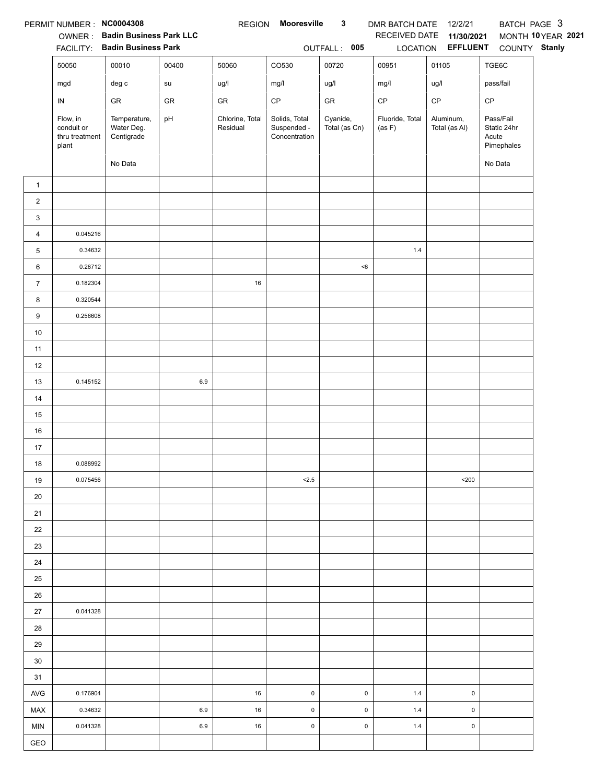|                | PERMIT NUMBER: NC0004308                          | <b>OWNER: Badin Business Park LLC</b><br>FACILITY: Badin Business Park |            | <b>REGION</b>               | Mooresville                                   | $\mathbf{3}$<br>OUTFALL: 005 | DMR BATCH DATE 12/2/21<br>RECEIVED DATE | 11/30/2021<br>LOCATION EFFLUENT | BATCH PAGE 3<br>COUNTY Stanly                   | MONTH 10 YEAR 2021 |
|----------------|---------------------------------------------------|------------------------------------------------------------------------|------------|-----------------------------|-----------------------------------------------|------------------------------|-----------------------------------------|---------------------------------|-------------------------------------------------|--------------------|
|                | 50050                                             | 00010                                                                  | 00400      | 50060                       | CO530                                         | 00720                        | 00951                                   | 01105                           | TGE6C                                           |                    |
|                | mgd                                               | deg c                                                                  | su         | ug/l                        | mg/l                                          | ug/l                         | mg/l                                    | ug/l                            | pass/fail                                       |                    |
|                | IN                                                | ${\sf GR}$                                                             | ${\sf GR}$ | ${\sf GR}$                  | $\mathsf{CP}$                                 | ${\sf GR}$                   | $\mathsf{CP}$                           | $\mathsf{CP}$                   | CP                                              |                    |
|                | Flow, in<br>conduit or<br>thru treatment<br>plant | Temperature,<br>Water Deg.<br>Centigrade                               | pH         | Chlorine, Total<br>Residual | Solids, Total<br>Suspended -<br>Concentration | Cyanide,<br>Total (as Cn)    | Fluoride, Total<br>(as F)               | Aluminum,<br>Total (as Al)      | Pass/Fail<br>Static 24hr<br>Acute<br>Pimephales |                    |
|                |                                                   | No Data                                                                |            |                             |                                               |                              |                                         |                                 | No Data                                         |                    |
| $\mathbf{1}$   |                                                   |                                                                        |            |                             |                                               |                              |                                         |                                 |                                                 |                    |
| $\overline{c}$ |                                                   |                                                                        |            |                             |                                               |                              |                                         |                                 |                                                 |                    |
| 3              |                                                   |                                                                        |            |                             |                                               |                              |                                         |                                 |                                                 |                    |
| 4              | 0.045216                                          |                                                                        |            |                             |                                               |                              |                                         |                                 |                                                 |                    |
| 5              | 0.34632                                           |                                                                        |            |                             |                                               |                              | $1.4$                                   |                                 |                                                 |                    |
| 6              | 0.26712                                           |                                                                        |            |                             |                                               | < 6                          |                                         |                                 |                                                 |                    |
| $\overline{7}$ | 0.182304                                          |                                                                        |            | $16\,$                      |                                               |                              |                                         |                                 |                                                 |                    |
| 8              | 0.320544                                          |                                                                        |            |                             |                                               |                              |                                         |                                 |                                                 |                    |
| 9              | 0.256608                                          |                                                                        |            |                             |                                               |                              |                                         |                                 |                                                 |                    |
| $10\,$         |                                                   |                                                                        |            |                             |                                               |                              |                                         |                                 |                                                 |                    |
| 11             |                                                   |                                                                        |            |                             |                                               |                              |                                         |                                 |                                                 |                    |
| 12             |                                                   |                                                                        |            |                             |                                               |                              |                                         |                                 |                                                 |                    |
| 13             | 0.145152                                          |                                                                        | $6.9\,$    |                             |                                               |                              |                                         |                                 |                                                 |                    |
| 14             |                                                   |                                                                        |            |                             |                                               |                              |                                         |                                 |                                                 |                    |
| 15             |                                                   |                                                                        |            |                             |                                               |                              |                                         |                                 |                                                 |                    |
| 16             |                                                   |                                                                        |            |                             |                                               |                              |                                         |                                 |                                                 |                    |
| 17             |                                                   |                                                                        |            |                             |                                               |                              |                                         |                                 |                                                 |                    |
| 18             | 0.088992                                          |                                                                        |            |                             |                                               |                              |                                         |                                 |                                                 |                    |
| 19             | 0.075456                                          |                                                                        |            |                             | < 2.5                                         |                              |                                         | $200$                           |                                                 |                    |
| 20             |                                                   |                                                                        |            |                             |                                               |                              |                                         |                                 |                                                 |                    |
| 21             |                                                   |                                                                        |            |                             |                                               |                              |                                         |                                 |                                                 |                    |
| 22             |                                                   |                                                                        |            |                             |                                               |                              |                                         |                                 |                                                 |                    |
| 23             |                                                   |                                                                        |            |                             |                                               |                              |                                         |                                 |                                                 |                    |
| 24             |                                                   |                                                                        |            |                             |                                               |                              |                                         |                                 |                                                 |                    |
| 25             |                                                   |                                                                        |            |                             |                                               |                              |                                         |                                 |                                                 |                    |
| 26             |                                                   |                                                                        |            |                             |                                               |                              |                                         |                                 |                                                 |                    |
| 27             | 0.041328                                          |                                                                        |            |                             |                                               |                              |                                         |                                 |                                                 |                    |
| 28             |                                                   |                                                                        |            |                             |                                               |                              |                                         |                                 |                                                 |                    |
| 29             |                                                   |                                                                        |            |                             |                                               |                              |                                         |                                 |                                                 |                    |
| 30             |                                                   |                                                                        |            |                             |                                               |                              |                                         |                                 |                                                 |                    |
| 31             |                                                   |                                                                        |            |                             |                                               |                              |                                         |                                 |                                                 |                    |
| AVG            | 0.176904                                          |                                                                        |            | 16                          | $\pmb{0}$                                     | $\pmb{0}$                    | $1.4$                                   | $\pmb{0}$                       |                                                 |                    |
| <b>MAX</b>     | 0.34632                                           |                                                                        | 6.9        | 16                          | $\pmb{0}$                                     | $\pmb{0}$                    | 1.4                                     | $\pmb{0}$                       |                                                 |                    |
| <b>MIN</b>     | 0.041328                                          |                                                                        | 6.9        | 16                          | $\pmb{0}$                                     | $\mathsf 0$                  | 1.4                                     | $\pmb{0}$                       |                                                 |                    |
| GEO            |                                                   |                                                                        |            |                             |                                               |                              |                                         |                                 |                                                 |                    |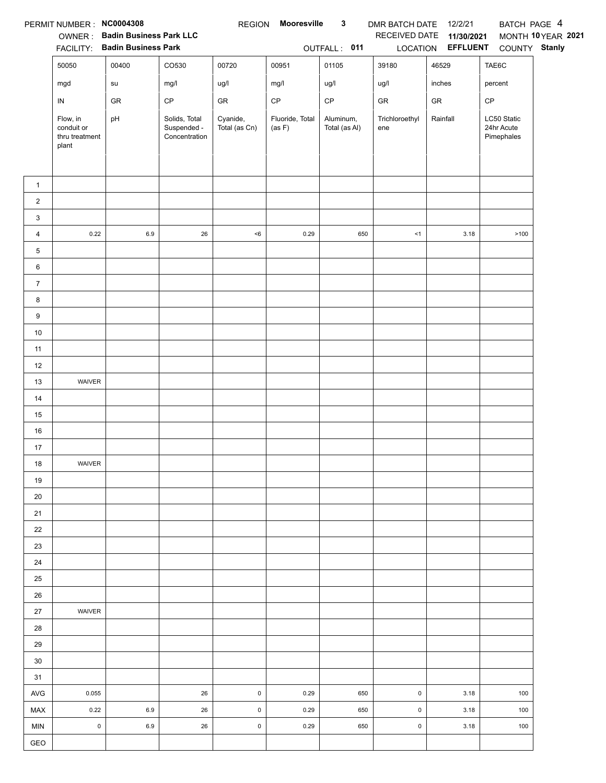|                | PERMIT NUMBER: NC0004308                          | OWNER: Badin Business Park LLC<br>FACILITY: Badin Business Park |                                               | <b>REGION</b>             | Mooresville               | $\mathbf{3}$<br>OUTFALL: 011 | DMR BATCH DATE 12/2/21<br>RECEIVED DATE | 11/30/2021<br>LOCATION EFFLUENT | BATCH PAGE 4                            | MONTH 10YEAR 2021<br>COUNTY Stanly |
|----------------|---------------------------------------------------|-----------------------------------------------------------------|-----------------------------------------------|---------------------------|---------------------------|------------------------------|-----------------------------------------|---------------------------------|-----------------------------------------|------------------------------------|
|                | 50050                                             | 00400                                                           | CO530                                         | 00720                     | 00951                     | 01105                        | 39180                                   | 46529                           | TAE6C                                   |                                    |
|                | mgd                                               | su                                                              | mg/l                                          | ug/l                      | mg/l                      | ug/l                         | ug/l                                    | inches                          | percent                                 |                                    |
|                | IN                                                | ${\sf GR}$                                                      | $\mathsf{CP}$                                 | GR                        | CP                        | $\mathsf{CP}$                | GR                                      | ${\sf GR}$                      | CP                                      |                                    |
|                | Flow, in<br>conduit or<br>thru treatment<br>plant | pH                                                              | Solids, Total<br>Suspended -<br>Concentration | Cyanide,<br>Total (as Cn) | Fluoride, Total<br>(as F) | Aluminum,<br>Total (as Al)   | Trichloroethyl<br>ene                   | Rainfall                        | LC50 Static<br>24hr Acute<br>Pimephales |                                    |
| $\mathbf{1}$   |                                                   |                                                                 |                                               |                           |                           |                              |                                         |                                 |                                         |                                    |
| $\overline{a}$ |                                                   |                                                                 |                                               |                           |                           |                              |                                         |                                 |                                         |                                    |
| 3              |                                                   |                                                                 |                                               |                           |                           |                              |                                         |                                 |                                         |                                    |
| 4              | 0.22                                              | 6.9                                                             | 26                                            | < 6                       | 0.29                      | 650                          | < 1                                     | 3.18                            | >100                                    |                                    |
| 5              |                                                   |                                                                 |                                               |                           |                           |                              |                                         |                                 |                                         |                                    |
| 6              |                                                   |                                                                 |                                               |                           |                           |                              |                                         |                                 |                                         |                                    |
| $\overline{7}$ |                                                   |                                                                 |                                               |                           |                           |                              |                                         |                                 |                                         |                                    |
| 8              |                                                   |                                                                 |                                               |                           |                           |                              |                                         |                                 |                                         |                                    |
| 9              |                                                   |                                                                 |                                               |                           |                           |                              |                                         |                                 |                                         |                                    |
| 10             |                                                   |                                                                 |                                               |                           |                           |                              |                                         |                                 |                                         |                                    |
| 11             |                                                   |                                                                 |                                               |                           |                           |                              |                                         |                                 |                                         |                                    |
| 12             |                                                   |                                                                 |                                               |                           |                           |                              |                                         |                                 |                                         |                                    |
| 13             | WAIVER                                            |                                                                 |                                               |                           |                           |                              |                                         |                                 |                                         |                                    |
| 14             |                                                   |                                                                 |                                               |                           |                           |                              |                                         |                                 |                                         |                                    |
| 15             |                                                   |                                                                 |                                               |                           |                           |                              |                                         |                                 |                                         |                                    |
| 16             |                                                   |                                                                 |                                               |                           |                           |                              |                                         |                                 |                                         |                                    |
| 17             |                                                   |                                                                 |                                               |                           |                           |                              |                                         |                                 |                                         |                                    |
| 18             | WAIVER                                            |                                                                 |                                               |                           |                           |                              |                                         |                                 |                                         |                                    |
| 19             |                                                   |                                                                 |                                               |                           |                           |                              |                                         |                                 |                                         |                                    |
| 20             |                                                   |                                                                 |                                               |                           |                           |                              |                                         |                                 |                                         |                                    |
| 21             |                                                   |                                                                 |                                               |                           |                           |                              |                                         |                                 |                                         |                                    |
| 22             |                                                   |                                                                 |                                               |                           |                           |                              |                                         |                                 |                                         |                                    |
| 23             |                                                   |                                                                 |                                               |                           |                           |                              |                                         |                                 |                                         |                                    |
| 24<br>25       |                                                   |                                                                 |                                               |                           |                           |                              |                                         |                                 |                                         |                                    |
| 26             |                                                   |                                                                 |                                               |                           |                           |                              |                                         |                                 |                                         |                                    |
| 27             | WAIVER                                            |                                                                 |                                               |                           |                           |                              |                                         |                                 |                                         |                                    |
| 28             |                                                   |                                                                 |                                               |                           |                           |                              |                                         |                                 |                                         |                                    |
| 29             |                                                   |                                                                 |                                               |                           |                           |                              |                                         |                                 |                                         |                                    |
| 30             |                                                   |                                                                 |                                               |                           |                           |                              |                                         |                                 |                                         |                                    |
| 31             |                                                   |                                                                 |                                               |                           |                           |                              |                                         |                                 |                                         |                                    |
| <b>AVG</b>     | 0.055                                             |                                                                 | 26                                            | $\mathsf 0$               | 0.29                      | 650                          | $\mathsf 0$                             | 3.18                            | 100                                     |                                    |
| MAX            | 0.22                                              | 6.9                                                             | 26                                            | $\mathsf 0$               | 0.29                      | 650                          | $\mathsf 0$                             | 3.18                            | 100                                     |                                    |
| <b>MIN</b>     | $\mathsf{O}\xspace$                               | 6.9                                                             | 26                                            | $\mathsf{O}\xspace$       | 0.29                      | 650                          | $\mathsf{O}\xspace$                     | 3.18                            | 100                                     |                                    |
| GEO            |                                                   |                                                                 |                                               |                           |                           |                              |                                         |                                 |                                         |                                    |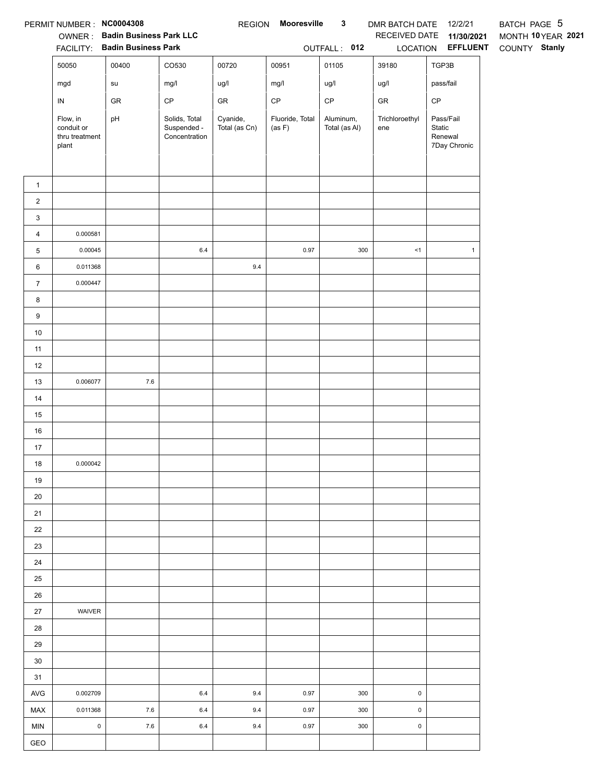|                  | PERMIT NUMBER: NC0004308                          | OWNER: Badin Business Park LLC<br>FACILITY: Badin Business Park |                                               |                           | REGION Mooresville        | $\mathbf{3}$<br>OUTFALL: 012 | DMR BATCH DATE 12/2/21<br>LOCATION | RECEIVED DATE 11/30/2021<br><b>EFFLUENT</b>    | BATCH PAGE 5<br>MONTH 10YEAR 2021<br>COUNTY Stanly |
|------------------|---------------------------------------------------|-----------------------------------------------------------------|-----------------------------------------------|---------------------------|---------------------------|------------------------------|------------------------------------|------------------------------------------------|----------------------------------------------------|
|                  | 50050                                             | 00400                                                           | CO530                                         | 00720                     | 00951                     | 01105                        | 39180                              | TGP3B                                          |                                                    |
|                  | mgd                                               | su                                                              | mg/l                                          | ug/l                      | mg/l                      | ug/l                         | ug/l                               | pass/fail                                      |                                                    |
|                  | $\sf IN$                                          | GR                                                              | $\mathsf{CP}$                                 | GR                        | $\mathsf{CP}$             | CP                           | GR                                 | $\mathsf{CP}$                                  |                                                    |
|                  | Flow, in<br>conduit or<br>thru treatment<br>plant | pH                                                              | Solids, Total<br>Suspended -<br>Concentration | Cyanide,<br>Total (as Cn) | Fluoride, Total<br>(as F) | Aluminum,<br>Total (as Al)   | Trichloroethyl<br>ene              | Pass/Fail<br>Static<br>Renewal<br>7Day Chronic |                                                    |
| $\mathbf{1}$     |                                                   |                                                                 |                                               |                           |                           |                              |                                    |                                                |                                                    |
| $\overline{c}$   |                                                   |                                                                 |                                               |                           |                           |                              |                                    |                                                |                                                    |
| $\mathbf{3}$     |                                                   |                                                                 |                                               |                           |                           |                              |                                    |                                                |                                                    |
| $\overline{4}$   | 0.000581                                          |                                                                 |                                               |                           |                           |                              |                                    |                                                |                                                    |
| $\sqrt{5}$       | 0.00045                                           |                                                                 | $6.4\,$                                       |                           | 0.97                      | 300                          | <1                                 | $\mathbf{1}$                                   |                                                    |
| 6                | 0.011368                                          |                                                                 |                                               | $9.4\,$                   |                           |                              |                                    |                                                |                                                    |
| $\boldsymbol{7}$ | 0.000447                                          |                                                                 |                                               |                           |                           |                              |                                    |                                                |                                                    |
| 8                |                                                   |                                                                 |                                               |                           |                           |                              |                                    |                                                |                                                    |
| $\boldsymbol{9}$ |                                                   |                                                                 |                                               |                           |                           |                              |                                    |                                                |                                                    |
| $10$             |                                                   |                                                                 |                                               |                           |                           |                              |                                    |                                                |                                                    |
| 11               |                                                   |                                                                 |                                               |                           |                           |                              |                                    |                                                |                                                    |
| 12               |                                                   |                                                                 |                                               |                           |                           |                              |                                    |                                                |                                                    |
| 13               | 0.006077                                          | $7.6\,$                                                         |                                               |                           |                           |                              |                                    |                                                |                                                    |
| 14               |                                                   |                                                                 |                                               |                           |                           |                              |                                    |                                                |                                                    |
| 15               |                                                   |                                                                 |                                               |                           |                           |                              |                                    |                                                |                                                    |
| 16<br>17         |                                                   |                                                                 |                                               |                           |                           |                              |                                    |                                                |                                                    |
| 18               | 0.000042                                          |                                                                 |                                               |                           |                           |                              |                                    |                                                |                                                    |
| 19               |                                                   |                                                                 |                                               |                           |                           |                              |                                    |                                                |                                                    |
| 20               |                                                   |                                                                 |                                               |                           |                           |                              |                                    |                                                |                                                    |
| 21               |                                                   |                                                                 |                                               |                           |                           |                              |                                    |                                                |                                                    |
| 22               |                                                   |                                                                 |                                               |                           |                           |                              |                                    |                                                |                                                    |
| 23               |                                                   |                                                                 |                                               |                           |                           |                              |                                    |                                                |                                                    |
| 24               |                                                   |                                                                 |                                               |                           |                           |                              |                                    |                                                |                                                    |
| 25               |                                                   |                                                                 |                                               |                           |                           |                              |                                    |                                                |                                                    |
| 26               |                                                   |                                                                 |                                               |                           |                           |                              |                                    |                                                |                                                    |
| 27               | WAIVER                                            |                                                                 |                                               |                           |                           |                              |                                    |                                                |                                                    |
| 28               |                                                   |                                                                 |                                               |                           |                           |                              |                                    |                                                |                                                    |
| 29               |                                                   |                                                                 |                                               |                           |                           |                              |                                    |                                                |                                                    |
| 30               |                                                   |                                                                 |                                               |                           |                           |                              |                                    |                                                |                                                    |
| 31               |                                                   |                                                                 |                                               |                           |                           |                              |                                    |                                                |                                                    |
| AVG              | 0.002709                                          |                                                                 | $6.4\,$                                       | 9.4                       | 0.97                      | 300                          | $\pmb{0}$                          |                                                |                                                    |
| MAX              | 0.011368                                          | 7.6                                                             | 6.4                                           | 9.4                       | 0.97                      | 300                          | 0                                  |                                                |                                                    |
| <b>MIN</b>       | $\pmb{0}$                                         | 7.6                                                             | 6.4                                           | 9.4                       | 0.97                      | 300                          | $\mathsf 0$                        |                                                |                                                    |
| GEO              |                                                   |                                                                 |                                               |                           |                           |                              |                                    |                                                |                                                    |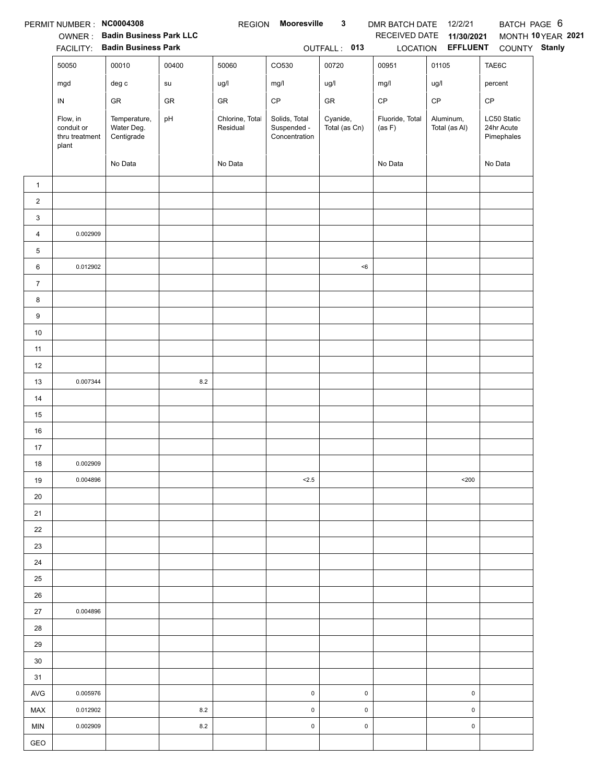|                | PERMIT NUMBER: NC0004308              | OWNER: Badin Business Park LLC<br>FACILITY: Badin Business Park |         | <b>REGION</b>   | Mooresville                  | $\mathbf{3}$<br>OUTFALL: 013 | DMR BATCH DATE<br>RECEIVED DATE | 12/2/21<br>11/30/2021<br>LOCATION EFFLUENT | BATCH PAGE 6<br>COUNTY Stanly | MONTH 10YEAR 2021 |
|----------------|---------------------------------------|-----------------------------------------------------------------|---------|-----------------|------------------------------|------------------------------|---------------------------------|--------------------------------------------|-------------------------------|-------------------|
|                | 50050                                 | 00010                                                           | 00400   | 50060           | CO530                        | 00720                        | 00951                           | 01105                                      | TAE6C                         |                   |
|                | mgd                                   | $\deg$ $\mathtt{c}$                                             | su      | ug/l            | mg/l                         | ug/l                         | mg/l                            | ug/l                                       | percent                       |                   |
|                | $\sf IN$                              | ${\sf GR}$                                                      | GR      | GR              | CP                           | ${\sf GR}$                   | $\mathsf{CP}$                   | $\mathsf{CP}$                              | CP                            |                   |
|                | Flow, in                              | Temperature,                                                    | pH      | Chlorine, Total | Solids, Total                | Cyanide,                     | Fluoride, Total                 | Aluminum,                                  | LC50 Static                   |                   |
|                | conduit or<br>thru treatment<br>plant | Water Deg.<br>Centigrade                                        |         | Residual        | Suspended -<br>Concentration | Total (as Cn)                | (as F)                          | Total (as Al)                              | 24hr Acute<br>Pimephales      |                   |
|                |                                       | No Data                                                         |         | No Data         |                              |                              | No Data                         |                                            | No Data                       |                   |
| $\mathbf{1}$   |                                       |                                                                 |         |                 |                              |                              |                                 |                                            |                               |                   |
| $\overline{c}$ |                                       |                                                                 |         |                 |                              |                              |                                 |                                            |                               |                   |
| 3              |                                       |                                                                 |         |                 |                              |                              |                                 |                                            |                               |                   |
| 4              | 0.002909                              |                                                                 |         |                 |                              |                              |                                 |                                            |                               |                   |
| 5              |                                       |                                                                 |         |                 |                              |                              |                                 |                                            |                               |                   |
| 6              | 0.012902                              |                                                                 |         |                 |                              | $6$                          |                                 |                                            |                               |                   |
| $\overline{7}$ |                                       |                                                                 |         |                 |                              |                              |                                 |                                            |                               |                   |
| 8              |                                       |                                                                 |         |                 |                              |                              |                                 |                                            |                               |                   |
| 9              |                                       |                                                                 |         |                 |                              |                              |                                 |                                            |                               |                   |
| $10\,$         |                                       |                                                                 |         |                 |                              |                              |                                 |                                            |                               |                   |
| 11             |                                       |                                                                 |         |                 |                              |                              |                                 |                                            |                               |                   |
| 12             |                                       |                                                                 |         |                 |                              |                              |                                 |                                            |                               |                   |
| 13             | 0.007344                              |                                                                 | $8.2\,$ |                 |                              |                              |                                 |                                            |                               |                   |
| 14             |                                       |                                                                 |         |                 |                              |                              |                                 |                                            |                               |                   |
| 15             |                                       |                                                                 |         |                 |                              |                              |                                 |                                            |                               |                   |
| 16             |                                       |                                                                 |         |                 |                              |                              |                                 |                                            |                               |                   |
| 17             |                                       |                                                                 |         |                 |                              |                              |                                 |                                            |                               |                   |
| 18             | 0.002909                              |                                                                 |         |                 |                              |                              |                                 |                                            |                               |                   |
| 19             | 0.004896                              |                                                                 |         |                 | 2.5                          |                              |                                 | $200$                                      |                               |                   |
| 20             |                                       |                                                                 |         |                 |                              |                              |                                 |                                            |                               |                   |
| 21             |                                       |                                                                 |         |                 |                              |                              |                                 |                                            |                               |                   |
| 22             |                                       |                                                                 |         |                 |                              |                              |                                 |                                            |                               |                   |
| 23             |                                       |                                                                 |         |                 |                              |                              |                                 |                                            |                               |                   |
| 24             |                                       |                                                                 |         |                 |                              |                              |                                 |                                            |                               |                   |
| 25             |                                       |                                                                 |         |                 |                              |                              |                                 |                                            |                               |                   |
| 26             |                                       |                                                                 |         |                 |                              |                              |                                 |                                            |                               |                   |
| 27             | 0.004896                              |                                                                 |         |                 |                              |                              |                                 |                                            |                               |                   |
| 28             |                                       |                                                                 |         |                 |                              |                              |                                 |                                            |                               |                   |
| 29             |                                       |                                                                 |         |                 |                              |                              |                                 |                                            |                               |                   |
| 30             |                                       |                                                                 |         |                 |                              |                              |                                 |                                            |                               |                   |
| 31             |                                       |                                                                 |         |                 |                              |                              |                                 |                                            |                               |                   |
| <b>AVG</b>     | 0.005976                              |                                                                 |         |                 | $\pmb{0}$                    | 0                            |                                 | 0                                          |                               |                   |
| MAX            | 0.012902                              |                                                                 | 8.2     |                 | $\pmb{0}$                    | $\pmb{0}$                    |                                 | $\pmb{0}$                                  |                               |                   |
| <b>MIN</b>     | 0.002909                              |                                                                 | 8.2     |                 | $\pmb{0}$                    | $\mathsf 0$                  |                                 | $\pmb{0}$                                  |                               |                   |
| GEO            |                                       |                                                                 |         |                 |                              |                              |                                 |                                            |                               |                   |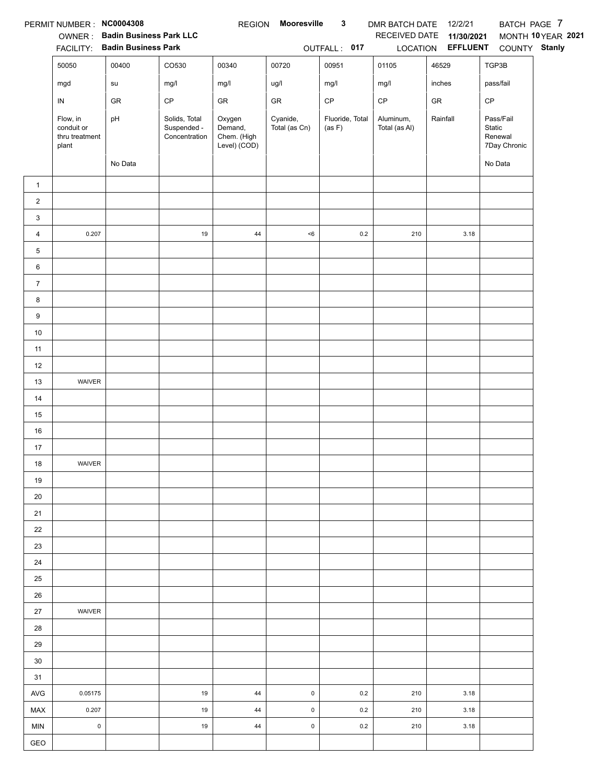|                | PERMIT NUMBER: NC0004308                          | OWNER: Badin Business Park LLC<br>FACILITY: Badin Business Park |                                               | <b>REGION</b>                                    | Mooresville               | $\mathbf{3}$<br>OUTFALL: 017 | DMR BATCH DATE<br>RECEIVED DATE | 12/2/21<br>11/30/2021<br>LOCATION <b>EFFLUENT</b> | BATCH PAGE 7<br>COUNTY Stanly                  | MONTH 10YEAR 2021 |
|----------------|---------------------------------------------------|-----------------------------------------------------------------|-----------------------------------------------|--------------------------------------------------|---------------------------|------------------------------|---------------------------------|---------------------------------------------------|------------------------------------------------|-------------------|
|                |                                                   |                                                                 | CO530                                         |                                                  |                           |                              |                                 |                                                   |                                                |                   |
|                | 50050                                             | 00400                                                           |                                               | 00340                                            | 00720                     | 00951                        | 01105                           | 46529                                             | TGP3B                                          |                   |
|                | mgd                                               | su                                                              | mg/l                                          | mg/l                                             | ug/l                      | mg/l                         | mg/l                            | inches                                            | pass/fail                                      |                   |
|                | ${\sf IN}$                                        | ${\sf GR}$                                                      | $\mathsf{CP}$                                 | GR                                               | ${\sf GR}$                | $\mathsf{CP}$                | $\mathsf{CP}$                   | GR                                                | CP                                             |                   |
|                | Flow, in<br>conduit or<br>thru treatment<br>plant | pH                                                              | Solids, Total<br>Suspended -<br>Concentration | Oxygen<br>Demand,<br>Chem. (High<br>Level) (COD) | Cyanide,<br>Total (as Cn) | Fluoride, Total<br>(as F)    | Aluminum,<br>Total (as Al)      | Rainfall                                          | Pass/Fail<br>Static<br>Renewal<br>7Day Chronic |                   |
|                |                                                   | No Data                                                         |                                               |                                                  |                           |                              |                                 |                                                   | No Data                                        |                   |
| $\mathbf{1}$   |                                                   |                                                                 |                                               |                                                  |                           |                              |                                 |                                                   |                                                |                   |
| $\overline{c}$ |                                                   |                                                                 |                                               |                                                  |                           |                              |                                 |                                                   |                                                |                   |
| 3              |                                                   |                                                                 |                                               |                                                  |                           |                              |                                 |                                                   |                                                |                   |
| 4              | 0.207                                             |                                                                 | 19                                            | 44                                               | < 6                       | 0.2                          | 210                             | 3.18                                              |                                                |                   |
| 5              |                                                   |                                                                 |                                               |                                                  |                           |                              |                                 |                                                   |                                                |                   |
| 6              |                                                   |                                                                 |                                               |                                                  |                           |                              |                                 |                                                   |                                                |                   |
| $\overline{7}$ |                                                   |                                                                 |                                               |                                                  |                           |                              |                                 |                                                   |                                                |                   |
| 8              |                                                   |                                                                 |                                               |                                                  |                           |                              |                                 |                                                   |                                                |                   |
| 9              |                                                   |                                                                 |                                               |                                                  |                           |                              |                                 |                                                   |                                                |                   |
| $10\,$         |                                                   |                                                                 |                                               |                                                  |                           |                              |                                 |                                                   |                                                |                   |
| 11             |                                                   |                                                                 |                                               |                                                  |                           |                              |                                 |                                                   |                                                |                   |
| 12             |                                                   |                                                                 |                                               |                                                  |                           |                              |                                 |                                                   |                                                |                   |
| 13             | WAIVER                                            |                                                                 |                                               |                                                  |                           |                              |                                 |                                                   |                                                |                   |
| 14             |                                                   |                                                                 |                                               |                                                  |                           |                              |                                 |                                                   |                                                |                   |
| 15             |                                                   |                                                                 |                                               |                                                  |                           |                              |                                 |                                                   |                                                |                   |
| 16             |                                                   |                                                                 |                                               |                                                  |                           |                              |                                 |                                                   |                                                |                   |
| 17             |                                                   |                                                                 |                                               |                                                  |                           |                              |                                 |                                                   |                                                |                   |
| 18             | WAIVER                                            |                                                                 |                                               |                                                  |                           |                              |                                 |                                                   |                                                |                   |
| 19             |                                                   |                                                                 |                                               |                                                  |                           |                              |                                 |                                                   |                                                |                   |
| 20             |                                                   |                                                                 |                                               |                                                  |                           |                              |                                 |                                                   |                                                |                   |
| 21             |                                                   |                                                                 |                                               |                                                  |                           |                              |                                 |                                                   |                                                |                   |
| 22             |                                                   |                                                                 |                                               |                                                  |                           |                              |                                 |                                                   |                                                |                   |
| 23             |                                                   |                                                                 |                                               |                                                  |                           |                              |                                 |                                                   |                                                |                   |
| 24             |                                                   |                                                                 |                                               |                                                  |                           |                              |                                 |                                                   |                                                |                   |
| 25             |                                                   |                                                                 |                                               |                                                  |                           |                              |                                 |                                                   |                                                |                   |
| 26             |                                                   |                                                                 |                                               |                                                  |                           |                              |                                 |                                                   |                                                |                   |
| 27             | WAIVER                                            |                                                                 |                                               |                                                  |                           |                              |                                 |                                                   |                                                |                   |
| 28             |                                                   |                                                                 |                                               |                                                  |                           |                              |                                 |                                                   |                                                |                   |
| 29             |                                                   |                                                                 |                                               |                                                  |                           |                              |                                 |                                                   |                                                |                   |
| 30             |                                                   |                                                                 |                                               |                                                  |                           |                              |                                 |                                                   |                                                |                   |
| 31             |                                                   |                                                                 |                                               |                                                  |                           |                              |                                 |                                                   |                                                |                   |
| <b>AVG</b>     | 0.05175                                           |                                                                 | 19                                            | 44                                               | $\mathsf 0$               | 0.2                          | 210                             | 3.18                                              |                                                |                   |
| MAX            | 0.207                                             |                                                                 | 19                                            | 44                                               | $\pmb{0}$                 | 0.2                          | 210                             | 3.18                                              |                                                |                   |
| <b>MIN</b>     | $\mathsf 0$                                       |                                                                 | 19                                            | 44                                               | $\pmb{0}$                 | 0.2                          | 210                             | 3.18                                              |                                                |                   |
| GEO            |                                                   |                                                                 |                                               |                                                  |                           |                              |                                 |                                                   |                                                |                   |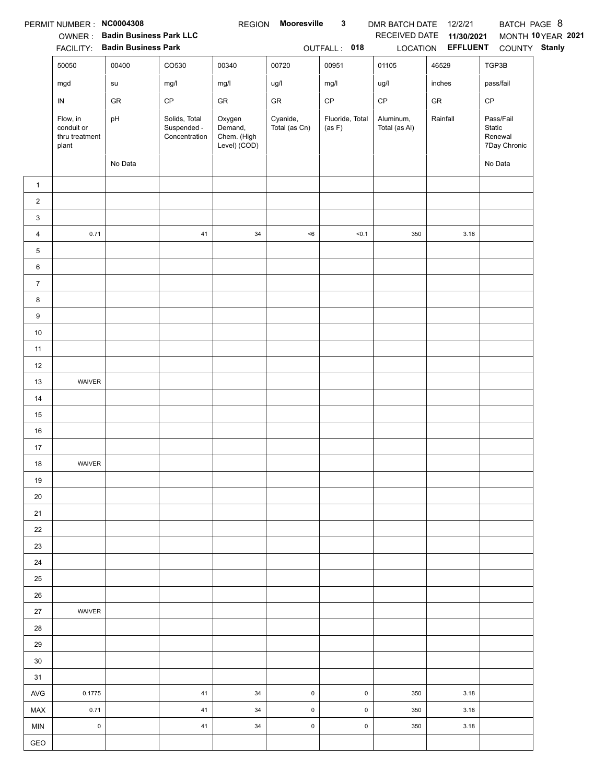|                  | PERMIT NUMBER : NC0004308<br><b>FACILITY:</b>     | OWNER: Badin Business Park LLC<br><b>Badin Business Park</b> |                                               | <b>REGION</b>                                    | Mooresville               | $\mathbf{3}$<br>OUTFALL: 018 | DMR BATCH DATE<br>RECEIVED DATE | 12/2/21<br>11/30/2021<br>LOCATION EFFLUENT | BATCH PAGE 8<br>COUNTY Stanly                  | MONTH 10 YEAR 2021 |
|------------------|---------------------------------------------------|--------------------------------------------------------------|-----------------------------------------------|--------------------------------------------------|---------------------------|------------------------------|---------------------------------|--------------------------------------------|------------------------------------------------|--------------------|
|                  | 50050                                             | 00400                                                        | CO530                                         | 00340                                            | 00720                     | 00951                        | 01105                           | 46529                                      | TGP3B                                          |                    |
|                  |                                                   |                                                              |                                               |                                                  |                           |                              |                                 |                                            |                                                |                    |
|                  | mgd                                               | su                                                           | mg/l                                          | mg/l                                             | ug/l                      | mg/l                         | ug/l                            | inches                                     | pass/fail                                      |                    |
|                  | IN                                                | GR                                                           | $\mathsf{CP}$                                 | GR                                               | ${\sf GR}$                | $\mathsf{CP}$                | $\mathsf{CP}$                   | ${\sf GR}$                                 | CP                                             |                    |
|                  | Flow, in<br>conduit or<br>thru treatment<br>plant | pH                                                           | Solids, Total<br>Suspended -<br>Concentration | Oxygen<br>Demand,<br>Chem. (High<br>Level) (COD) | Cyanide,<br>Total (as Cn) | Fluoride, Total<br>(as F)    | Aluminum,<br>Total (as Al)      | Rainfall                                   | Pass/Fail<br>Static<br>Renewal<br>7Day Chronic |                    |
|                  |                                                   | No Data                                                      |                                               |                                                  |                           |                              |                                 |                                            | No Data                                        |                    |
| $\mathbf{1}$     |                                                   |                                                              |                                               |                                                  |                           |                              |                                 |                                            |                                                |                    |
| $\boldsymbol{2}$ |                                                   |                                                              |                                               |                                                  |                           |                              |                                 |                                            |                                                |                    |
| 3                |                                                   |                                                              |                                               |                                                  |                           |                              |                                 |                                            |                                                |                    |
| 4                | 0.71                                              |                                                              | 41                                            | 34                                               | $<\!6$                    | < 0.1                        | 350                             | 3.18                                       |                                                |                    |
| 5                |                                                   |                                                              |                                               |                                                  |                           |                              |                                 |                                            |                                                |                    |
| 6                |                                                   |                                                              |                                               |                                                  |                           |                              |                                 |                                            |                                                |                    |
| $\overline{7}$   |                                                   |                                                              |                                               |                                                  |                           |                              |                                 |                                            |                                                |                    |
| 8                |                                                   |                                                              |                                               |                                                  |                           |                              |                                 |                                            |                                                |                    |
| $9\,$            |                                                   |                                                              |                                               |                                                  |                           |                              |                                 |                                            |                                                |                    |
| 10               |                                                   |                                                              |                                               |                                                  |                           |                              |                                 |                                            |                                                |                    |
| 11               |                                                   |                                                              |                                               |                                                  |                           |                              |                                 |                                            |                                                |                    |
| 12               |                                                   |                                                              |                                               |                                                  |                           |                              |                                 |                                            |                                                |                    |
| 13               | WAIVER                                            |                                                              |                                               |                                                  |                           |                              |                                 |                                            |                                                |                    |
| 14               |                                                   |                                                              |                                               |                                                  |                           |                              |                                 |                                            |                                                |                    |
| 15               |                                                   |                                                              |                                               |                                                  |                           |                              |                                 |                                            |                                                |                    |
| 16               |                                                   |                                                              |                                               |                                                  |                           |                              |                                 |                                            |                                                |                    |
| 17               |                                                   |                                                              |                                               |                                                  |                           |                              |                                 |                                            |                                                |                    |
| 18               | WAIVER                                            |                                                              |                                               |                                                  |                           |                              |                                 |                                            |                                                |                    |
| 19               |                                                   |                                                              |                                               |                                                  |                           |                              |                                 |                                            |                                                |                    |
| 20               |                                                   |                                                              |                                               |                                                  |                           |                              |                                 |                                            |                                                |                    |
| 21               |                                                   |                                                              |                                               |                                                  |                           |                              |                                 |                                            |                                                |                    |
| 22               |                                                   |                                                              |                                               |                                                  |                           |                              |                                 |                                            |                                                |                    |
| 23               |                                                   |                                                              |                                               |                                                  |                           |                              |                                 |                                            |                                                |                    |
| 24               |                                                   |                                                              |                                               |                                                  |                           |                              |                                 |                                            |                                                |                    |
| 25               |                                                   |                                                              |                                               |                                                  |                           |                              |                                 |                                            |                                                |                    |
| 26               |                                                   |                                                              |                                               |                                                  |                           |                              |                                 |                                            |                                                |                    |
| 27               | WAIVER                                            |                                                              |                                               |                                                  |                           |                              |                                 |                                            |                                                |                    |
| 28               |                                                   |                                                              |                                               |                                                  |                           |                              |                                 |                                            |                                                |                    |
| 29               |                                                   |                                                              |                                               |                                                  |                           |                              |                                 |                                            |                                                |                    |
| 30<br>31         |                                                   |                                                              |                                               |                                                  |                           |                              |                                 |                                            |                                                |                    |
| <b>AVG</b>       | 0.1775                                            |                                                              | 41                                            | 34                                               | $\mathsf 0$               | $\pmb{0}$                    | 350                             | 3.18                                       |                                                |                    |
| MAX              | 0.71                                              |                                                              | 41                                            | 34                                               | $\mathsf 0$               | $\pmb{0}$                    | 350                             | 3.18                                       |                                                |                    |
| <b>MIN</b>       | $\mathsf 0$                                       |                                                              | 41                                            | 34                                               | $\mathsf 0$               | 0                            | 350                             | 3.18                                       |                                                |                    |
| GEO              |                                                   |                                                              |                                               |                                                  |                           |                              |                                 |                                            |                                                |                    |
|                  |                                                   |                                                              |                                               |                                                  |                           |                              |                                 |                                            |                                                |                    |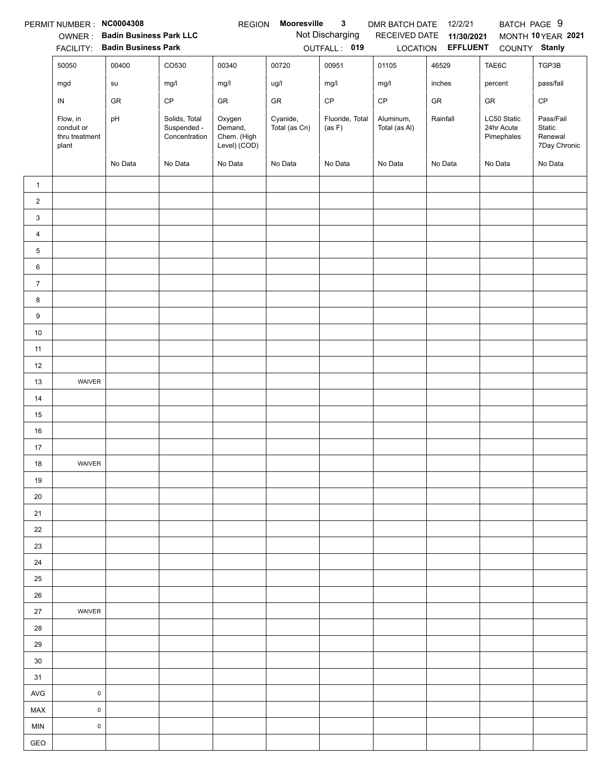|                | PERMIT NUMBER: NC0004308                          |                                                              |                                               | <b>REGION</b>                                    | Mooresville               | 3                               | DMR BATCH DATE             | 12/2/21                       | BATCH PAGE 9                            |                                                |
|----------------|---------------------------------------------------|--------------------------------------------------------------|-----------------------------------------------|--------------------------------------------------|---------------------------|---------------------------------|----------------------------|-------------------------------|-----------------------------------------|------------------------------------------------|
|                | OWNER:<br><b>FACILITY:</b>                        | <b>Badin Business Park LLC</b><br><b>Badin Business Park</b> |                                               |                                                  |                           | Not Discharging<br>OUTFALL: 019 | RECEIVED DATE<br>LOCATION  | 11/30/2021<br><b>EFFLUENT</b> | COUNTY Stanly                           | MONTH 10YEAR 2021                              |
|                | 50050                                             | 00400                                                        | CO530                                         | 00340                                            | 00720                     | 00951                           | 01105                      | 46529                         | TAE6C                                   | TGP3B                                          |
|                | mgd                                               | su                                                           | mg/l                                          | mg/l                                             | ug/l                      | mg/l                            | mg/l                       | inches                        | percent                                 | pass/fail                                      |
|                | IN                                                | GR                                                           | CP                                            | GR                                               | <b>GR</b>                 | $\mathsf{CP}$                   | CP                         | GR                            | GR                                      | $\mathsf{CP}$                                  |
|                | Flow, in<br>conduit or<br>thru treatment<br>plant | pH                                                           | Solids, Total<br>Suspended -<br>Concentration | Oxygen<br>Demand,<br>Chem. (High<br>Level) (COD) | Cyanide,<br>Total (as Cn) | Fluoride, Total<br>(as F)       | Aluminum,<br>Total (as Al) | Rainfall                      | LC50 Static<br>24hr Acute<br>Pimephales | Pass/Fail<br>Static<br>Renewal<br>7Day Chronic |
|                |                                                   | No Data                                                      | No Data                                       | No Data                                          | No Data                   | No Data                         | No Data                    | No Data                       | No Data                                 | No Data                                        |
| $\mathbf{1}$   |                                                   |                                                              |                                               |                                                  |                           |                                 |                            |                               |                                         |                                                |
| $\overline{c}$ |                                                   |                                                              |                                               |                                                  |                           |                                 |                            |                               |                                         |                                                |
| 3              |                                                   |                                                              |                                               |                                                  |                           |                                 |                            |                               |                                         |                                                |
| $\overline{4}$ |                                                   |                                                              |                                               |                                                  |                           |                                 |                            |                               |                                         |                                                |
| $\sqrt{5}$     |                                                   |                                                              |                                               |                                                  |                           |                                 |                            |                               |                                         |                                                |
| 6              |                                                   |                                                              |                                               |                                                  |                           |                                 |                            |                               |                                         |                                                |
| $\overline{7}$ |                                                   |                                                              |                                               |                                                  |                           |                                 |                            |                               |                                         |                                                |
| 8              |                                                   |                                                              |                                               |                                                  |                           |                                 |                            |                               |                                         |                                                |
| 9              |                                                   |                                                              |                                               |                                                  |                           |                                 |                            |                               |                                         |                                                |
| $10\,$         |                                                   |                                                              |                                               |                                                  |                           |                                 |                            |                               |                                         |                                                |
| 11             |                                                   |                                                              |                                               |                                                  |                           |                                 |                            |                               |                                         |                                                |
| 12             |                                                   |                                                              |                                               |                                                  |                           |                                 |                            |                               |                                         |                                                |
| 13             | WAIVER                                            |                                                              |                                               |                                                  |                           |                                 |                            |                               |                                         |                                                |
| 14             |                                                   |                                                              |                                               |                                                  |                           |                                 |                            |                               |                                         |                                                |
| 15             |                                                   |                                                              |                                               |                                                  |                           |                                 |                            |                               |                                         |                                                |
| 16             |                                                   |                                                              |                                               |                                                  |                           |                                 |                            |                               |                                         |                                                |
| 17             |                                                   |                                                              |                                               |                                                  |                           |                                 |                            |                               |                                         |                                                |
| 18             | WAIVER                                            |                                                              |                                               |                                                  |                           |                                 |                            |                               |                                         |                                                |
| 19             |                                                   |                                                              |                                               |                                                  |                           |                                 |                            |                               |                                         |                                                |
| 20             |                                                   |                                                              |                                               |                                                  |                           |                                 |                            |                               |                                         |                                                |
| 21             |                                                   |                                                              |                                               |                                                  |                           |                                 |                            |                               |                                         |                                                |
| 22             |                                                   |                                                              |                                               |                                                  |                           |                                 |                            |                               |                                         |                                                |
| 23             |                                                   |                                                              |                                               |                                                  |                           |                                 |                            |                               |                                         |                                                |
| 24             |                                                   |                                                              |                                               |                                                  |                           |                                 |                            |                               |                                         |                                                |
| 25             |                                                   |                                                              |                                               |                                                  |                           |                                 |                            |                               |                                         |                                                |
| 26             |                                                   |                                                              |                                               |                                                  |                           |                                 |                            |                               |                                         |                                                |
| 27             | WAIVER                                            |                                                              |                                               |                                                  |                           |                                 |                            |                               |                                         |                                                |
| 28             |                                                   |                                                              |                                               |                                                  |                           |                                 |                            |                               |                                         |                                                |
| 29<br>30       |                                                   |                                                              |                                               |                                                  |                           |                                 |                            |                               |                                         |                                                |
| 31             |                                                   |                                                              |                                               |                                                  |                           |                                 |                            |                               |                                         |                                                |
| <b>AVG</b>     | $\pmb{0}$                                         |                                                              |                                               |                                                  |                           |                                 |                            |                               |                                         |                                                |
| MAX            | $\mathsf 0$                                       |                                                              |                                               |                                                  |                           |                                 |                            |                               |                                         |                                                |
| <b>MIN</b>     | $\pmb{0}$                                         |                                                              |                                               |                                                  |                           |                                 |                            |                               |                                         |                                                |
| GEO            |                                                   |                                                              |                                               |                                                  |                           |                                 |                            |                               |                                         |                                                |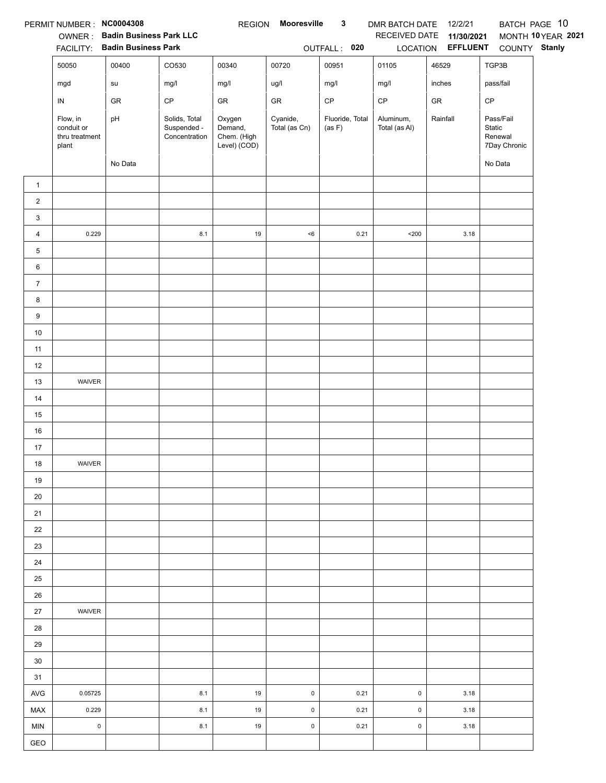|                  | PERMIT NUMBER : NC0004308<br><b>FACILITY:</b>     | OWNER: Badin Business Park LLC<br><b>Badin Business Park</b> |                                               | <b>REGION</b>                                    | Mooresville               | $\mathbf{3}$<br>OUTFALL: 020     | DMR BATCH DATE<br>RECEIVED DATE | 12/2/21<br>11/30/2021<br>LOCATION EFFLUENT | COUNTY Stanly                                  | BATCH PAGE 10<br>MONTH 10 YEAR 2021 |
|------------------|---------------------------------------------------|--------------------------------------------------------------|-----------------------------------------------|--------------------------------------------------|---------------------------|----------------------------------|---------------------------------|--------------------------------------------|------------------------------------------------|-------------------------------------|
|                  | 50050                                             | 00400                                                        | CO530                                         | 00340                                            | 00720                     | 00951                            | 01105                           | 46529                                      | TGP3B                                          |                                     |
|                  |                                                   | ${\sf su}$                                                   | mg/l                                          | mg/l                                             | ug/l                      | mg/l                             | mg/l                            | inches                                     | pass/fail                                      |                                     |
|                  | mgd                                               |                                                              |                                               |                                                  |                           |                                  |                                 |                                            |                                                |                                     |
|                  | IN                                                | GR                                                           | $\mathsf{CP}$                                 | GR                                               | ${\sf GR}$                | $\mathsf{CP}$<br>Fluoride, Total | $\mathsf{CP}$                   | ${\sf GR}$                                 | CP                                             |                                     |
|                  | Flow, in<br>conduit or<br>thru treatment<br>plant | pH                                                           | Solids, Total<br>Suspended -<br>Concentration | Oxygen<br>Demand,<br>Chem. (High<br>Level) (COD) | Cyanide,<br>Total (as Cn) | (as F)                           | Aluminum,<br>Total (as Al)      | Rainfall                                   | Pass/Fail<br>Static<br>Renewal<br>7Day Chronic |                                     |
|                  |                                                   | No Data                                                      |                                               |                                                  |                           |                                  |                                 |                                            | No Data                                        |                                     |
| $\mathbf{1}$     |                                                   |                                                              |                                               |                                                  |                           |                                  |                                 |                                            |                                                |                                     |
| $\boldsymbol{2}$ |                                                   |                                                              |                                               |                                                  |                           |                                  |                                 |                                            |                                                |                                     |
| 3                |                                                   |                                                              |                                               |                                                  |                           |                                  |                                 |                                            |                                                |                                     |
| 4                | 0.229                                             |                                                              | 8.1                                           | 19                                               | $<\!6$                    | 0.21                             | $200$                           | 3.18                                       |                                                |                                     |
| 5                |                                                   |                                                              |                                               |                                                  |                           |                                  |                                 |                                            |                                                |                                     |
| 6                |                                                   |                                                              |                                               |                                                  |                           |                                  |                                 |                                            |                                                |                                     |
| $\overline{7}$   |                                                   |                                                              |                                               |                                                  |                           |                                  |                                 |                                            |                                                |                                     |
| 8                |                                                   |                                                              |                                               |                                                  |                           |                                  |                                 |                                            |                                                |                                     |
| $9\,$            |                                                   |                                                              |                                               |                                                  |                           |                                  |                                 |                                            |                                                |                                     |
| 10               |                                                   |                                                              |                                               |                                                  |                           |                                  |                                 |                                            |                                                |                                     |
| 11               |                                                   |                                                              |                                               |                                                  |                           |                                  |                                 |                                            |                                                |                                     |
| 12               |                                                   |                                                              |                                               |                                                  |                           |                                  |                                 |                                            |                                                |                                     |
| 13               | WAIVER                                            |                                                              |                                               |                                                  |                           |                                  |                                 |                                            |                                                |                                     |
| 14               |                                                   |                                                              |                                               |                                                  |                           |                                  |                                 |                                            |                                                |                                     |
| 15               |                                                   |                                                              |                                               |                                                  |                           |                                  |                                 |                                            |                                                |                                     |
| 16               |                                                   |                                                              |                                               |                                                  |                           |                                  |                                 |                                            |                                                |                                     |
| 17               |                                                   |                                                              |                                               |                                                  |                           |                                  |                                 |                                            |                                                |                                     |
| 18               | WAIVER                                            |                                                              |                                               |                                                  |                           |                                  |                                 |                                            |                                                |                                     |
| 19               |                                                   |                                                              |                                               |                                                  |                           |                                  |                                 |                                            |                                                |                                     |
| 20<br>21         |                                                   |                                                              |                                               |                                                  |                           |                                  |                                 |                                            |                                                |                                     |
|                  |                                                   |                                                              |                                               |                                                  |                           |                                  |                                 |                                            |                                                |                                     |
| 22<br>23         |                                                   |                                                              |                                               |                                                  |                           |                                  |                                 |                                            |                                                |                                     |
| 24               |                                                   |                                                              |                                               |                                                  |                           |                                  |                                 |                                            |                                                |                                     |
| 25               |                                                   |                                                              |                                               |                                                  |                           |                                  |                                 |                                            |                                                |                                     |
| 26               |                                                   |                                                              |                                               |                                                  |                           |                                  |                                 |                                            |                                                |                                     |
| 27               | WAIVER                                            |                                                              |                                               |                                                  |                           |                                  |                                 |                                            |                                                |                                     |
| 28               |                                                   |                                                              |                                               |                                                  |                           |                                  |                                 |                                            |                                                |                                     |
| 29               |                                                   |                                                              |                                               |                                                  |                           |                                  |                                 |                                            |                                                |                                     |
| 30               |                                                   |                                                              |                                               |                                                  |                           |                                  |                                 |                                            |                                                |                                     |
| 31               |                                                   |                                                              |                                               |                                                  |                           |                                  |                                 |                                            |                                                |                                     |
| <b>AVG</b>       | 0.05725                                           |                                                              | 8.1                                           | 19                                               | $\mathsf 0$               | 0.21                             | $\mathsf 0$                     | 3.18                                       |                                                |                                     |
| MAX              | 0.229                                             |                                                              | 8.1                                           | 19                                               | $\mathsf 0$               | 0.21                             | $\mathsf 0$                     | 3.18                                       |                                                |                                     |
| <b>MIN</b>       | $\mathsf 0$                                       |                                                              | 8.1                                           | 19                                               | $\mathsf 0$               | 0.21                             | $\mathsf 0$                     | 3.18                                       |                                                |                                     |
| GEO              |                                                   |                                                              |                                               |                                                  |                           |                                  |                                 |                                            |                                                |                                     |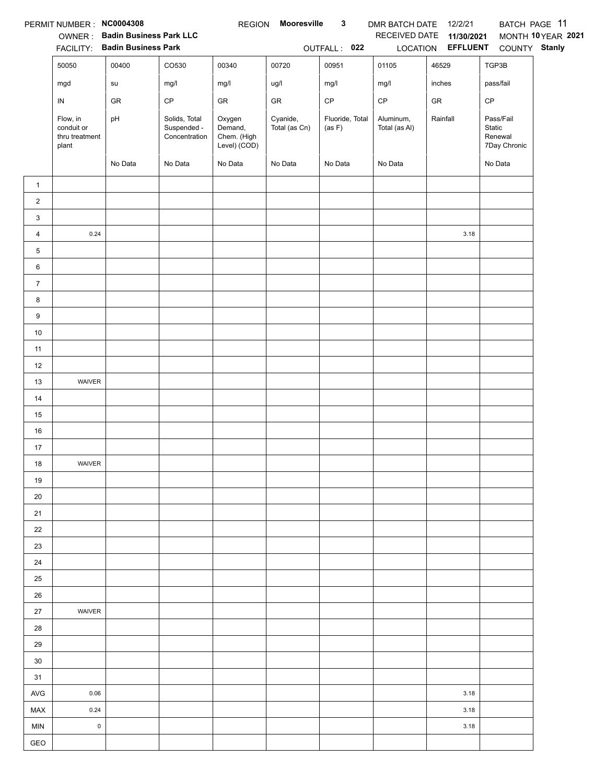|                | PERMIT NUMBER: NC0004308                          | OWNER: Badin Business Park LLC<br>FACILITY: Badin Business Park |                                               | <b>REGION</b>                                    | <b>Mooresville</b>        | $\mathbf{3}$<br>OUTFALL: 022 | DMR BATCH DATE 12/2/21<br>RECEIVED DATE | 11/30/2021<br>LOCATION EFFLUENT | COUNTY Stanly                                  | BATCH PAGE 11<br>MONTH 10 YEAR 2021 |
|----------------|---------------------------------------------------|-----------------------------------------------------------------|-----------------------------------------------|--------------------------------------------------|---------------------------|------------------------------|-----------------------------------------|---------------------------------|------------------------------------------------|-------------------------------------|
|                | 50050                                             | 00400                                                           | CO530                                         | 00340                                            | 00720                     | 00951                        | 01105                                   | 46529                           | TGP3B                                          |                                     |
|                | mgd                                               | su                                                              | mg/l                                          | mg/l                                             | ug/l                      | mg/l                         | mg/l                                    | inches                          | pass/fail                                      |                                     |
|                | IN                                                | ${\sf GR}$                                                      | $\mathsf{CP}$                                 | ${\sf GR}$                                       | ${\sf GR}$                | $\mathsf{CP}$                | $\mathsf{CP}$                           | ${\sf GR}$                      | CP                                             |                                     |
|                | Flow, in<br>conduit or<br>thru treatment<br>plant | pH                                                              | Solids, Total<br>Suspended -<br>Concentration | Oxygen<br>Demand,<br>Chem. (High<br>Level) (COD) | Cyanide,<br>Total (as Cn) | Fluoride, Total<br>(as F)    | Aluminum,<br>Total (as Al)              | Rainfall                        | Pass/Fail<br>Static<br>Renewal<br>7Day Chronic |                                     |
|                |                                                   | No Data                                                         | No Data                                       | No Data                                          | No Data                   | No Data                      | No Data                                 |                                 | No Data                                        |                                     |
| $\mathbf{1}$   |                                                   |                                                                 |                                               |                                                  |                           |                              |                                         |                                 |                                                |                                     |
| $\overline{c}$ |                                                   |                                                                 |                                               |                                                  |                           |                              |                                         |                                 |                                                |                                     |
| 3              |                                                   |                                                                 |                                               |                                                  |                           |                              |                                         |                                 |                                                |                                     |
| 4              | 0.24                                              |                                                                 |                                               |                                                  |                           |                              |                                         | 3.18                            |                                                |                                     |
| 5              |                                                   |                                                                 |                                               |                                                  |                           |                              |                                         |                                 |                                                |                                     |
| 6              |                                                   |                                                                 |                                               |                                                  |                           |                              |                                         |                                 |                                                |                                     |
| $\overline{7}$ |                                                   |                                                                 |                                               |                                                  |                           |                              |                                         |                                 |                                                |                                     |
| 8              |                                                   |                                                                 |                                               |                                                  |                           |                              |                                         |                                 |                                                |                                     |
| 9              |                                                   |                                                                 |                                               |                                                  |                           |                              |                                         |                                 |                                                |                                     |
| $10\,$         |                                                   |                                                                 |                                               |                                                  |                           |                              |                                         |                                 |                                                |                                     |
| 11             |                                                   |                                                                 |                                               |                                                  |                           |                              |                                         |                                 |                                                |                                     |
| 12             |                                                   |                                                                 |                                               |                                                  |                           |                              |                                         |                                 |                                                |                                     |
| 13             | WAIVER                                            |                                                                 |                                               |                                                  |                           |                              |                                         |                                 |                                                |                                     |
| 14             |                                                   |                                                                 |                                               |                                                  |                           |                              |                                         |                                 |                                                |                                     |
| 15             |                                                   |                                                                 |                                               |                                                  |                           |                              |                                         |                                 |                                                |                                     |
| 16             |                                                   |                                                                 |                                               |                                                  |                           |                              |                                         |                                 |                                                |                                     |
| 17             |                                                   |                                                                 |                                               |                                                  |                           |                              |                                         |                                 |                                                |                                     |
| 18             | WAIVER                                            |                                                                 |                                               |                                                  |                           |                              |                                         |                                 |                                                |                                     |
| 19             |                                                   |                                                                 |                                               |                                                  |                           |                              |                                         |                                 |                                                |                                     |
| 20             |                                                   |                                                                 |                                               |                                                  |                           |                              |                                         |                                 |                                                |                                     |
| 21             |                                                   |                                                                 |                                               |                                                  |                           |                              |                                         |                                 |                                                |                                     |
| 22             |                                                   |                                                                 |                                               |                                                  |                           |                              |                                         |                                 |                                                |                                     |
| 23             |                                                   |                                                                 |                                               |                                                  |                           |                              |                                         |                                 |                                                |                                     |
| 24             |                                                   |                                                                 |                                               |                                                  |                           |                              |                                         |                                 |                                                |                                     |
| 25             |                                                   |                                                                 |                                               |                                                  |                           |                              |                                         |                                 |                                                |                                     |
| 26             |                                                   |                                                                 |                                               |                                                  |                           |                              |                                         |                                 |                                                |                                     |
| 27             | WAIVER                                            |                                                                 |                                               |                                                  |                           |                              |                                         |                                 |                                                |                                     |
| 28             |                                                   |                                                                 |                                               |                                                  |                           |                              |                                         |                                 |                                                |                                     |
| 29             |                                                   |                                                                 |                                               |                                                  |                           |                              |                                         |                                 |                                                |                                     |
| 30             |                                                   |                                                                 |                                               |                                                  |                           |                              |                                         |                                 |                                                |                                     |
| 31             |                                                   |                                                                 |                                               |                                                  |                           |                              |                                         |                                 |                                                |                                     |
| AVG            | 0.06                                              |                                                                 |                                               |                                                  |                           |                              |                                         | 3.18                            |                                                |                                     |
| MAX            | 0.24                                              |                                                                 |                                               |                                                  |                           |                              |                                         | 3.18                            |                                                |                                     |
| <b>MIN</b>     | $\mathsf 0$                                       |                                                                 |                                               |                                                  |                           |                              |                                         | 3.18                            |                                                |                                     |
| GEO            |                                                   |                                                                 |                                               |                                                  |                           |                              |                                         |                                 |                                                |                                     |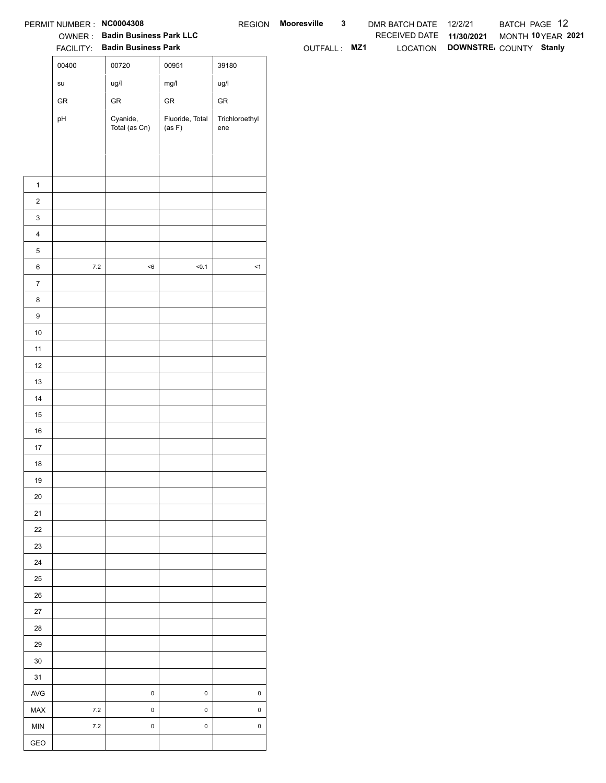| RECEIVED DATE 11/30/2021<br>OWNER: Badin Business Park LLC<br>LOCATION DOWNSTRE COUNTY Stanly<br>FACILITY: Badin Business Park<br>OUTFALL: MZ1<br>00400<br>00720<br>00951<br>39180<br>ug/l<br>mg/l<br>ug/l<br>$\operatorname{\mathsf{su}}\nolimits$<br>${\sf GR}$<br>${\sf GR}$<br>${\sf GR}$<br>${\sf GR}$<br>Cyanide,<br>Fluoride, Total<br>Trichloroethyl<br>pH<br>Total (as Cn)<br>(as F)<br>ene<br>$\mathbf{1}$<br>$\overline{2}$<br>$\mathbf{3}$<br>$\overline{4}$<br>$\,$ 5 $\,$<br>$7.2\,$<br>$<\!6$<br>50.1<br>$\leq$ 1<br>$\,6$<br>$\overline{7}$<br>$\bf8$<br>$\boldsymbol{9}$<br>10<br>11<br>12<br>13<br>14<br>15<br>16<br>$17$<br>18<br>19<br>$20\,$<br>21<br>22<br>23<br>24<br>25<br>26<br>27<br>28<br>29<br>$30\,$<br>31<br>$\mathbf 0$<br>$\mathsf 0$<br>$\pmb{0}$<br>AVG<br>$\mathbf 0$<br>$\mathsf 0$<br>$\mathsf 0$<br>7.2<br>MAX<br>$\mathbf 0$<br>$\mathsf 0$<br>$\mathsf 0$<br>$7.2\,$<br>MIN |     | PERMIT NUMBER : NC0004308 |  | REGION Mooresville | $\mathbf{3}$ | DMR BATCH DATE 12/2/21 | BATCH PAGE 12      |
|---------------------------------------------------------------------------------------------------------------------------------------------------------------------------------------------------------------------------------------------------------------------------------------------------------------------------------------------------------------------------------------------------------------------------------------------------------------------------------------------------------------------------------------------------------------------------------------------------------------------------------------------------------------------------------------------------------------------------------------------------------------------------------------------------------------------------------------------------------------------------------------------------------------------|-----|---------------------------|--|--------------------|--------------|------------------------|--------------------|
|                                                                                                                                                                                                                                                                                                                                                                                                                                                                                                                                                                                                                                                                                                                                                                                                                                                                                                                     |     |                           |  |                    |              |                        | MONTH 10 YEAR 2021 |
|                                                                                                                                                                                                                                                                                                                                                                                                                                                                                                                                                                                                                                                                                                                                                                                                                                                                                                                     |     |                           |  |                    |              |                        |                    |
|                                                                                                                                                                                                                                                                                                                                                                                                                                                                                                                                                                                                                                                                                                                                                                                                                                                                                                                     |     |                           |  |                    |              |                        |                    |
|                                                                                                                                                                                                                                                                                                                                                                                                                                                                                                                                                                                                                                                                                                                                                                                                                                                                                                                     |     |                           |  |                    |              |                        |                    |
|                                                                                                                                                                                                                                                                                                                                                                                                                                                                                                                                                                                                                                                                                                                                                                                                                                                                                                                     |     |                           |  |                    |              |                        |                    |
|                                                                                                                                                                                                                                                                                                                                                                                                                                                                                                                                                                                                                                                                                                                                                                                                                                                                                                                     |     |                           |  |                    |              |                        |                    |
|                                                                                                                                                                                                                                                                                                                                                                                                                                                                                                                                                                                                                                                                                                                                                                                                                                                                                                                     |     |                           |  |                    |              |                        |                    |
|                                                                                                                                                                                                                                                                                                                                                                                                                                                                                                                                                                                                                                                                                                                                                                                                                                                                                                                     |     |                           |  |                    |              |                        |                    |
|                                                                                                                                                                                                                                                                                                                                                                                                                                                                                                                                                                                                                                                                                                                                                                                                                                                                                                                     |     |                           |  |                    |              |                        |                    |
|                                                                                                                                                                                                                                                                                                                                                                                                                                                                                                                                                                                                                                                                                                                                                                                                                                                                                                                     |     |                           |  |                    |              |                        |                    |
|                                                                                                                                                                                                                                                                                                                                                                                                                                                                                                                                                                                                                                                                                                                                                                                                                                                                                                                     |     |                           |  |                    |              |                        |                    |
|                                                                                                                                                                                                                                                                                                                                                                                                                                                                                                                                                                                                                                                                                                                                                                                                                                                                                                                     |     |                           |  |                    |              |                        |                    |
|                                                                                                                                                                                                                                                                                                                                                                                                                                                                                                                                                                                                                                                                                                                                                                                                                                                                                                                     |     |                           |  |                    |              |                        |                    |
|                                                                                                                                                                                                                                                                                                                                                                                                                                                                                                                                                                                                                                                                                                                                                                                                                                                                                                                     |     |                           |  |                    |              |                        |                    |
|                                                                                                                                                                                                                                                                                                                                                                                                                                                                                                                                                                                                                                                                                                                                                                                                                                                                                                                     |     |                           |  |                    |              |                        |                    |
|                                                                                                                                                                                                                                                                                                                                                                                                                                                                                                                                                                                                                                                                                                                                                                                                                                                                                                                     |     |                           |  |                    |              |                        |                    |
|                                                                                                                                                                                                                                                                                                                                                                                                                                                                                                                                                                                                                                                                                                                                                                                                                                                                                                                     |     |                           |  |                    |              |                        |                    |
|                                                                                                                                                                                                                                                                                                                                                                                                                                                                                                                                                                                                                                                                                                                                                                                                                                                                                                                     |     |                           |  |                    |              |                        |                    |
|                                                                                                                                                                                                                                                                                                                                                                                                                                                                                                                                                                                                                                                                                                                                                                                                                                                                                                                     |     |                           |  |                    |              |                        |                    |
|                                                                                                                                                                                                                                                                                                                                                                                                                                                                                                                                                                                                                                                                                                                                                                                                                                                                                                                     |     |                           |  |                    |              |                        |                    |
|                                                                                                                                                                                                                                                                                                                                                                                                                                                                                                                                                                                                                                                                                                                                                                                                                                                                                                                     |     |                           |  |                    |              |                        |                    |
|                                                                                                                                                                                                                                                                                                                                                                                                                                                                                                                                                                                                                                                                                                                                                                                                                                                                                                                     |     |                           |  |                    |              |                        |                    |
|                                                                                                                                                                                                                                                                                                                                                                                                                                                                                                                                                                                                                                                                                                                                                                                                                                                                                                                     |     |                           |  |                    |              |                        |                    |
|                                                                                                                                                                                                                                                                                                                                                                                                                                                                                                                                                                                                                                                                                                                                                                                                                                                                                                                     |     |                           |  |                    |              |                        |                    |
|                                                                                                                                                                                                                                                                                                                                                                                                                                                                                                                                                                                                                                                                                                                                                                                                                                                                                                                     |     |                           |  |                    |              |                        |                    |
|                                                                                                                                                                                                                                                                                                                                                                                                                                                                                                                                                                                                                                                                                                                                                                                                                                                                                                                     |     |                           |  |                    |              |                        |                    |
|                                                                                                                                                                                                                                                                                                                                                                                                                                                                                                                                                                                                                                                                                                                                                                                                                                                                                                                     |     |                           |  |                    |              |                        |                    |
|                                                                                                                                                                                                                                                                                                                                                                                                                                                                                                                                                                                                                                                                                                                                                                                                                                                                                                                     |     |                           |  |                    |              |                        |                    |
|                                                                                                                                                                                                                                                                                                                                                                                                                                                                                                                                                                                                                                                                                                                                                                                                                                                                                                                     |     |                           |  |                    |              |                        |                    |
|                                                                                                                                                                                                                                                                                                                                                                                                                                                                                                                                                                                                                                                                                                                                                                                                                                                                                                                     |     |                           |  |                    |              |                        |                    |
|                                                                                                                                                                                                                                                                                                                                                                                                                                                                                                                                                                                                                                                                                                                                                                                                                                                                                                                     |     |                           |  |                    |              |                        |                    |
|                                                                                                                                                                                                                                                                                                                                                                                                                                                                                                                                                                                                                                                                                                                                                                                                                                                                                                                     |     |                           |  |                    |              |                        |                    |
|                                                                                                                                                                                                                                                                                                                                                                                                                                                                                                                                                                                                                                                                                                                                                                                                                                                                                                                     |     |                           |  |                    |              |                        |                    |
|                                                                                                                                                                                                                                                                                                                                                                                                                                                                                                                                                                                                                                                                                                                                                                                                                                                                                                                     |     |                           |  |                    |              |                        |                    |
|                                                                                                                                                                                                                                                                                                                                                                                                                                                                                                                                                                                                                                                                                                                                                                                                                                                                                                                     |     |                           |  |                    |              |                        |                    |
|                                                                                                                                                                                                                                                                                                                                                                                                                                                                                                                                                                                                                                                                                                                                                                                                                                                                                                                     |     |                           |  |                    |              |                        |                    |
|                                                                                                                                                                                                                                                                                                                                                                                                                                                                                                                                                                                                                                                                                                                                                                                                                                                                                                                     |     |                           |  |                    |              |                        |                    |
|                                                                                                                                                                                                                                                                                                                                                                                                                                                                                                                                                                                                                                                                                                                                                                                                                                                                                                                     |     |                           |  |                    |              |                        |                    |
|                                                                                                                                                                                                                                                                                                                                                                                                                                                                                                                                                                                                                                                                                                                                                                                                                                                                                                                     |     |                           |  |                    |              |                        |                    |
|                                                                                                                                                                                                                                                                                                                                                                                                                                                                                                                                                                                                                                                                                                                                                                                                                                                                                                                     |     |                           |  |                    |              |                        |                    |
|                                                                                                                                                                                                                                                                                                                                                                                                                                                                                                                                                                                                                                                                                                                                                                                                                                                                                                                     |     |                           |  |                    |              |                        |                    |
|                                                                                                                                                                                                                                                                                                                                                                                                                                                                                                                                                                                                                                                                                                                                                                                                                                                                                                                     | GEO |                           |  |                    |              |                        |                    |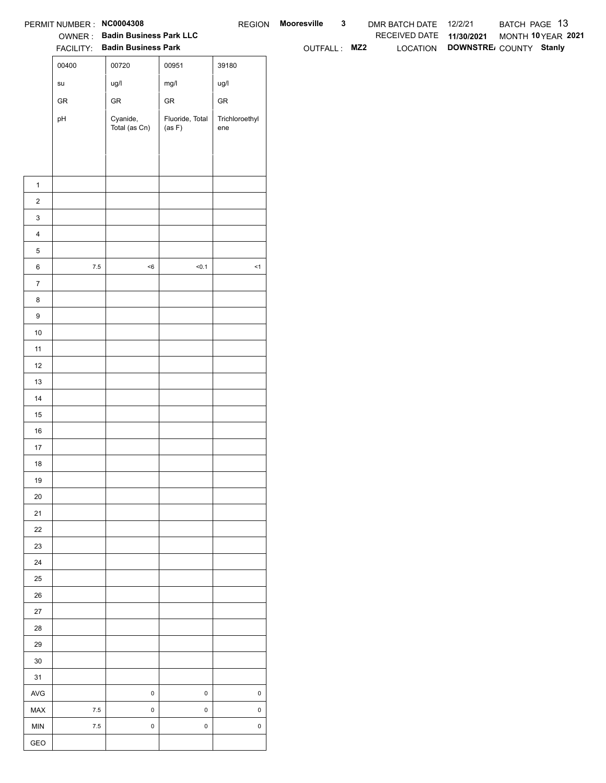| OWNER: Badin Business Park LLC<br>RECEIVED DATE 11/30/2021<br>FACILITY: Badin Business Park<br>LOCATION DOWNSTRE COUNTY Stanly<br>OUTFALL: MZ2<br>00400<br>00720<br>00951<br>39180<br>mg/l<br>ug/l<br>ug/l<br>$\operatorname{\mathsf{su}}\nolimits$<br>${\sf GR}$<br>${\sf GR}$<br>${\sf GR}$<br>${\sf GR}$<br>Fluoride, Total<br>Cyanide,<br>Trichloroethyl<br>pH<br>Total (as Cn)<br>(as F)<br>ene<br>$\mathbf{1}$<br>$\overline{a}$<br>$\mathbf{3}$<br>$\overline{4}$<br>5<br>$7.5\,$<br>$<\!6$<br>50.1<br>$\leq$ 1<br>6<br>$\overline{7}$<br>8<br>9<br>10<br>11<br>12<br>13<br>14<br>15<br>16<br>$17\,$<br>18<br>19<br>20<br>21<br>22<br>23<br>24<br>25<br>26<br>$27\,$<br>28<br>29<br>$30\,$<br>31<br>$\mathbf 0$<br>$\pmb{0}$<br>$\mathsf{AVG}$<br>$\mathsf{O}\xspace$<br>$\mathbf 0$<br>$7.5\,$<br>$\pmb{0}$<br>$\pmb{0}$<br>MAX<br>$\mathbf 0$<br>$\pmb{0}$<br>$\pmb{0}$<br>MIN<br>$7.5\,$<br>GEO | PERMIT NUMBER: NC0004308 |  | REGION Mooresville | $\mathbf{3}$ | DMR BATCH DATE 12/2/21 | BATCH PAGE 13      |
|-----------------------------------------------------------------------------------------------------------------------------------------------------------------------------------------------------------------------------------------------------------------------------------------------------------------------------------------------------------------------------------------------------------------------------------------------------------------------------------------------------------------------------------------------------------------------------------------------------------------------------------------------------------------------------------------------------------------------------------------------------------------------------------------------------------------------------------------------------------------------------------------------------------|--------------------------|--|--------------------|--------------|------------------------|--------------------|
|                                                                                                                                                                                                                                                                                                                                                                                                                                                                                                                                                                                                                                                                                                                                                                                                                                                                                                           |                          |  |                    |              |                        | MONTH 10 YEAR 2021 |
|                                                                                                                                                                                                                                                                                                                                                                                                                                                                                                                                                                                                                                                                                                                                                                                                                                                                                                           |                          |  |                    |              |                        |                    |
|                                                                                                                                                                                                                                                                                                                                                                                                                                                                                                                                                                                                                                                                                                                                                                                                                                                                                                           |                          |  |                    |              |                        |                    |
|                                                                                                                                                                                                                                                                                                                                                                                                                                                                                                                                                                                                                                                                                                                                                                                                                                                                                                           |                          |  |                    |              |                        |                    |
|                                                                                                                                                                                                                                                                                                                                                                                                                                                                                                                                                                                                                                                                                                                                                                                                                                                                                                           |                          |  |                    |              |                        |                    |
|                                                                                                                                                                                                                                                                                                                                                                                                                                                                                                                                                                                                                                                                                                                                                                                                                                                                                                           |                          |  |                    |              |                        |                    |
|                                                                                                                                                                                                                                                                                                                                                                                                                                                                                                                                                                                                                                                                                                                                                                                                                                                                                                           |                          |  |                    |              |                        |                    |
|                                                                                                                                                                                                                                                                                                                                                                                                                                                                                                                                                                                                                                                                                                                                                                                                                                                                                                           |                          |  |                    |              |                        |                    |
|                                                                                                                                                                                                                                                                                                                                                                                                                                                                                                                                                                                                                                                                                                                                                                                                                                                                                                           |                          |  |                    |              |                        |                    |
|                                                                                                                                                                                                                                                                                                                                                                                                                                                                                                                                                                                                                                                                                                                                                                                                                                                                                                           |                          |  |                    |              |                        |                    |
|                                                                                                                                                                                                                                                                                                                                                                                                                                                                                                                                                                                                                                                                                                                                                                                                                                                                                                           |                          |  |                    |              |                        |                    |
|                                                                                                                                                                                                                                                                                                                                                                                                                                                                                                                                                                                                                                                                                                                                                                                                                                                                                                           |                          |  |                    |              |                        |                    |
|                                                                                                                                                                                                                                                                                                                                                                                                                                                                                                                                                                                                                                                                                                                                                                                                                                                                                                           |                          |  |                    |              |                        |                    |
|                                                                                                                                                                                                                                                                                                                                                                                                                                                                                                                                                                                                                                                                                                                                                                                                                                                                                                           |                          |  |                    |              |                        |                    |
|                                                                                                                                                                                                                                                                                                                                                                                                                                                                                                                                                                                                                                                                                                                                                                                                                                                                                                           |                          |  |                    |              |                        |                    |
|                                                                                                                                                                                                                                                                                                                                                                                                                                                                                                                                                                                                                                                                                                                                                                                                                                                                                                           |                          |  |                    |              |                        |                    |
|                                                                                                                                                                                                                                                                                                                                                                                                                                                                                                                                                                                                                                                                                                                                                                                                                                                                                                           |                          |  |                    |              |                        |                    |
|                                                                                                                                                                                                                                                                                                                                                                                                                                                                                                                                                                                                                                                                                                                                                                                                                                                                                                           |                          |  |                    |              |                        |                    |
|                                                                                                                                                                                                                                                                                                                                                                                                                                                                                                                                                                                                                                                                                                                                                                                                                                                                                                           |                          |  |                    |              |                        |                    |
|                                                                                                                                                                                                                                                                                                                                                                                                                                                                                                                                                                                                                                                                                                                                                                                                                                                                                                           |                          |  |                    |              |                        |                    |
|                                                                                                                                                                                                                                                                                                                                                                                                                                                                                                                                                                                                                                                                                                                                                                                                                                                                                                           |                          |  |                    |              |                        |                    |
|                                                                                                                                                                                                                                                                                                                                                                                                                                                                                                                                                                                                                                                                                                                                                                                                                                                                                                           |                          |  |                    |              |                        |                    |
|                                                                                                                                                                                                                                                                                                                                                                                                                                                                                                                                                                                                                                                                                                                                                                                                                                                                                                           |                          |  |                    |              |                        |                    |
|                                                                                                                                                                                                                                                                                                                                                                                                                                                                                                                                                                                                                                                                                                                                                                                                                                                                                                           |                          |  |                    |              |                        |                    |
|                                                                                                                                                                                                                                                                                                                                                                                                                                                                                                                                                                                                                                                                                                                                                                                                                                                                                                           |                          |  |                    |              |                        |                    |
|                                                                                                                                                                                                                                                                                                                                                                                                                                                                                                                                                                                                                                                                                                                                                                                                                                                                                                           |                          |  |                    |              |                        |                    |
|                                                                                                                                                                                                                                                                                                                                                                                                                                                                                                                                                                                                                                                                                                                                                                                                                                                                                                           |                          |  |                    |              |                        |                    |
|                                                                                                                                                                                                                                                                                                                                                                                                                                                                                                                                                                                                                                                                                                                                                                                                                                                                                                           |                          |  |                    |              |                        |                    |
|                                                                                                                                                                                                                                                                                                                                                                                                                                                                                                                                                                                                                                                                                                                                                                                                                                                                                                           |                          |  |                    |              |                        |                    |
|                                                                                                                                                                                                                                                                                                                                                                                                                                                                                                                                                                                                                                                                                                                                                                                                                                                                                                           |                          |  |                    |              |                        |                    |
|                                                                                                                                                                                                                                                                                                                                                                                                                                                                                                                                                                                                                                                                                                                                                                                                                                                                                                           |                          |  |                    |              |                        |                    |
|                                                                                                                                                                                                                                                                                                                                                                                                                                                                                                                                                                                                                                                                                                                                                                                                                                                                                                           |                          |  |                    |              |                        |                    |
|                                                                                                                                                                                                                                                                                                                                                                                                                                                                                                                                                                                                                                                                                                                                                                                                                                                                                                           |                          |  |                    |              |                        |                    |
|                                                                                                                                                                                                                                                                                                                                                                                                                                                                                                                                                                                                                                                                                                                                                                                                                                                                                                           |                          |  |                    |              |                        |                    |
|                                                                                                                                                                                                                                                                                                                                                                                                                                                                                                                                                                                                                                                                                                                                                                                                                                                                                                           |                          |  |                    |              |                        |                    |
|                                                                                                                                                                                                                                                                                                                                                                                                                                                                                                                                                                                                                                                                                                                                                                                                                                                                                                           |                          |  |                    |              |                        |                    |
|                                                                                                                                                                                                                                                                                                                                                                                                                                                                                                                                                                                                                                                                                                                                                                                                                                                                                                           |                          |  |                    |              |                        |                    |
|                                                                                                                                                                                                                                                                                                                                                                                                                                                                                                                                                                                                                                                                                                                                                                                                                                                                                                           |                          |  |                    |              |                        |                    |
|                                                                                                                                                                                                                                                                                                                                                                                                                                                                                                                                                                                                                                                                                                                                                                                                                                                                                                           |                          |  |                    |              |                        |                    |
|                                                                                                                                                                                                                                                                                                                                                                                                                                                                                                                                                                                                                                                                                                                                                                                                                                                                                                           |                          |  |                    |              |                        |                    |
|                                                                                                                                                                                                                                                                                                                                                                                                                                                                                                                                                                                                                                                                                                                                                                                                                                                                                                           |                          |  |                    |              |                        |                    |
|                                                                                                                                                                                                                                                                                                                                                                                                                                                                                                                                                                                                                                                                                                                                                                                                                                                                                                           |                          |  |                    |              |                        |                    |
|                                                                                                                                                                                                                                                                                                                                                                                                                                                                                                                                                                                                                                                                                                                                                                                                                                                                                                           |                          |  |                    |              |                        |                    |
|                                                                                                                                                                                                                                                                                                                                                                                                                                                                                                                                                                                                                                                                                                                                                                                                                                                                                                           |                          |  |                    |              |                        |                    |